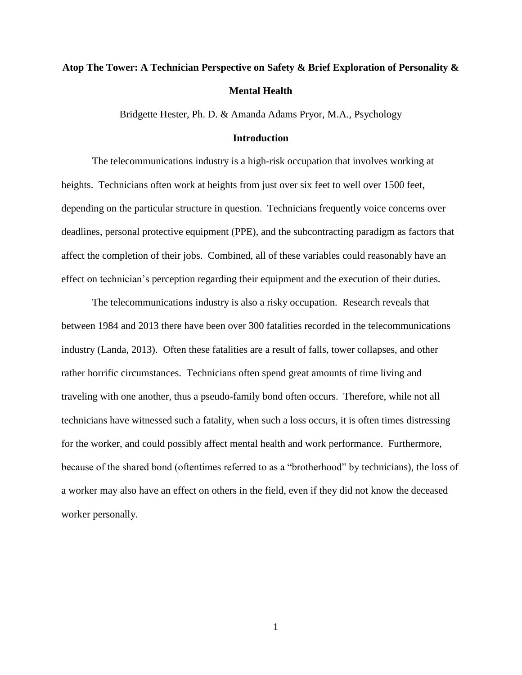# **Atop The Tower: A Technician Perspective on Safety & Brief Exploration of Personality & Mental Health**

Bridgette Hester, Ph. D. & Amanda Adams Pryor, M.A., Psychology

#### **Introduction**

The telecommunications industry is a high-risk occupation that involves working at heights. Technicians often work at heights from just over six feet to well over 1500 feet, depending on the particular structure in question. Technicians frequently voice concerns over deadlines, personal protective equipment (PPE), and the subcontracting paradigm as factors that affect the completion of their jobs. Combined, all of these variables could reasonably have an effect on technician's perception regarding their equipment and the execution of their duties.

The telecommunications industry is also a risky occupation. Research reveals that between 1984 and 2013 there have been over 300 fatalities recorded in the telecommunications industry (Landa, 2013). Often these fatalities are a result of falls, tower collapses, and other rather horrific circumstances. Technicians often spend great amounts of time living and traveling with one another, thus a pseudo-family bond often occurs. Therefore, while not all technicians have witnessed such a fatality, when such a loss occurs, it is often times distressing for the worker, and could possibly affect mental health and work performance. Furthermore, because of the shared bond (oftentimes referred to as a "brotherhood" by technicians), the loss of a worker may also have an effect on others in the field, even if they did not know the deceased worker personally.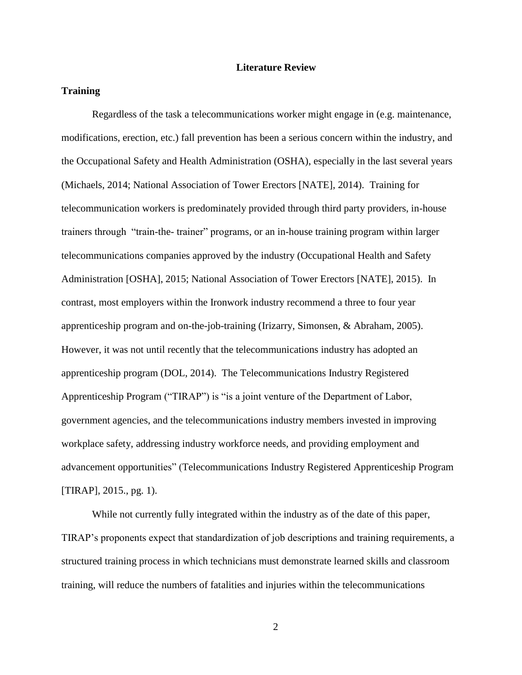#### **Literature Review**

#### **Training**

Regardless of the task a telecommunications worker might engage in (e.g. maintenance, modifications, erection, etc.) fall prevention has been a serious concern within the industry, and the Occupational Safety and Health Administration (OSHA), especially in the last several years (Michaels, 2014; National Association of Tower Erectors [NATE], 2014). Training for telecommunication workers is predominately provided through third party providers, in-house trainers through "train-the- trainer" programs, or an in-house training program within larger telecommunications companies approved by the industry (Occupational Health and Safety Administration [OSHA], 2015; National Association of Tower Erectors [NATE], 2015). In contrast, most employers within the Ironwork industry recommend a three to four year apprenticeship program and on-the-job-training (Irizarry, Simonsen, & Abraham, 2005). However, it was not until recently that the telecommunications industry has adopted an apprenticeship program (DOL, 2014). The Telecommunications Industry Registered Apprenticeship Program ("TIRAP") is "is a joint venture of the Department of Labor, government agencies, and the telecommunications industry members invested in improving workplace safety, addressing industry workforce needs, and providing employment and advancement opportunities" (Telecommunications Industry Registered Apprenticeship Program [TIRAP], 2015., pg. 1).

While not currently fully integrated within the industry as of the date of this paper, TIRAP's proponents expect that standardization of job descriptions and training requirements, a structured training process in which technicians must demonstrate learned skills and classroom training, will reduce the numbers of fatalities and injuries within the telecommunications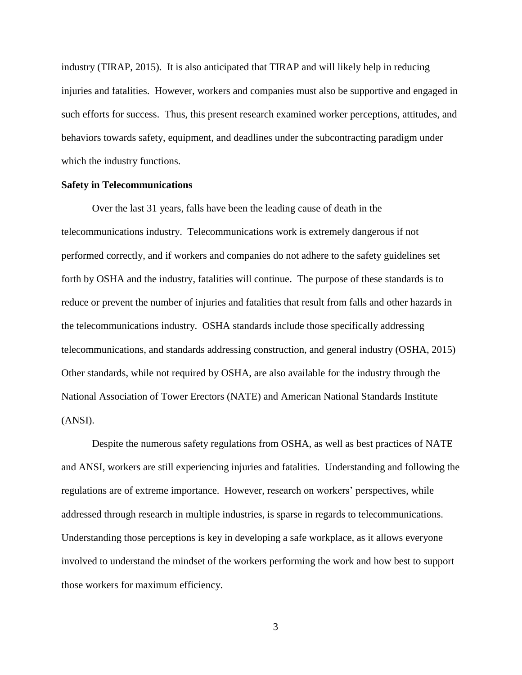industry (TIRAP, 2015). It is also anticipated that TIRAP and will likely help in reducing injuries and fatalities. However, workers and companies must also be supportive and engaged in such efforts for success. Thus, this present research examined worker perceptions, attitudes, and behaviors towards safety, equipment, and deadlines under the subcontracting paradigm under which the industry functions.

#### **Safety in Telecommunications**

Over the last 31 years, falls have been the leading cause of death in the telecommunications industry. Telecommunications work is extremely dangerous if not performed correctly, and if workers and companies do not adhere to the safety guidelines set forth by OSHA and the industry, fatalities will continue. The purpose of these standards is to reduce or prevent the number of injuries and fatalities that result from falls and other hazards in the telecommunications industry. OSHA standards include those specifically addressing telecommunications, and standards addressing construction, and general industry (OSHA, 2015) Other standards, while not required by OSHA, are also available for the industry through the National Association of Tower Erectors (NATE) and American National Standards Institute (ANSI).

Despite the numerous safety regulations from OSHA, as well as best practices of NATE and ANSI, workers are still experiencing injuries and fatalities. Understanding and following the regulations are of extreme importance. However, research on workers' perspectives, while addressed through research in multiple industries, is sparse in regards to telecommunications. Understanding those perceptions is key in developing a safe workplace, as it allows everyone involved to understand the mindset of the workers performing the work and how best to support those workers for maximum efficiency.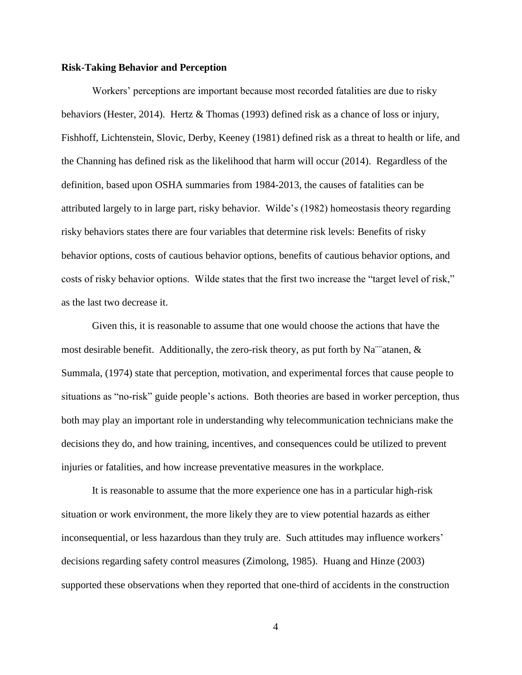#### **Risk-Taking Behavior and Perception**

Workers' perceptions are important because most recorded fatalities are due to risky behaviors (Hester, 2014). Hertz & Thomas (1993) defined risk as a chance of loss or injury, Fishhoff, Lichtenstein, Slovic, Derby, Keeney (1981) defined risk as a threat to health or life, and the Channing has defined risk as the likelihood that harm will occur (2014). Regardless of the definition, based upon OSHA summaries from 1984-2013, the causes of fatalities can be attributed largely to in large part, risky behavior. Wilde's (1982) homeostasis theory regarding risky behaviors states there are four variables that determine risk levels: Benefits of risky behavior options, costs of cautious behavior options, benefits of cautious behavior options, and costs of risky behavior options. Wilde states that the first two increase the "target level of risk," as the last two decrease it.

Given this, it is reasonable to assume that one would choose the actions that have the most desirable benefit. Additionally, the zero-risk theory, as put forth by Na<sup> $\dots$ </sup>atanen,  $\&$ Summala, (1974) state that perception, motivation, and experimental forces that cause people to situations as "no-risk" guide people's actions. Both theories are based in worker perception, thus both may play an important role in understanding why telecommunication technicians make the decisions they do, and how training, incentives, and consequences could be utilized to prevent injuries or fatalities, and how increase preventative measures in the workplace.

It is reasonable to assume that the more experience one has in a particular high-risk situation or work environment, the more likely they are to view potential hazards as either inconsequential, or less hazardous than they truly are. Such attitudes may influence workers' decisions regarding safety control measures (Zimolong, 1985). Huang and Hinze (2003) supported these observations when they reported that one-third of accidents in the construction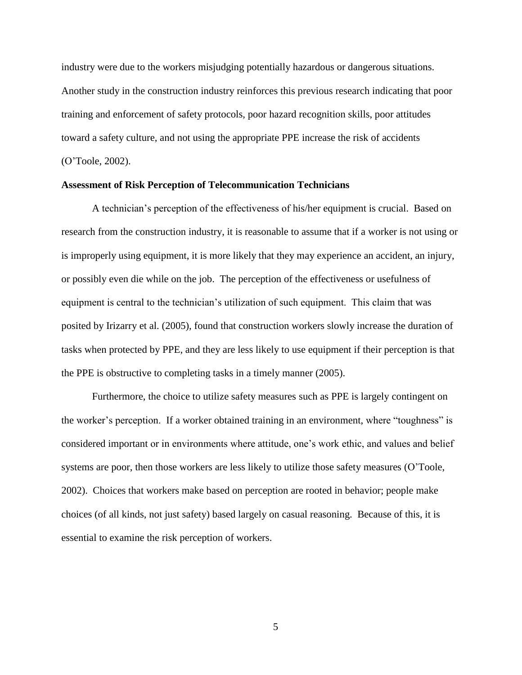industry were due to the workers misjudging potentially hazardous or dangerous situations. Another study in the construction industry reinforces this previous research indicating that poor training and enforcement of safety protocols, poor hazard recognition skills, poor attitudes toward a safety culture, and not using the appropriate PPE increase the risk of accidents (O'Toole, 2002).

#### **Assessment of Risk Perception of Telecommunication Technicians**

A technician's perception of the effectiveness of his/her equipment is crucial. Based on research from the construction industry, it is reasonable to assume that if a worker is not using or is improperly using equipment, it is more likely that they may experience an accident, an injury, or possibly even die while on the job. The perception of the effectiveness or usefulness of equipment is central to the technician's utilization of such equipment. This claim that was posited by Irizarry et al. (2005), found that construction workers slowly increase the duration of tasks when protected by PPE, and they are less likely to use equipment if their perception is that the PPE is obstructive to completing tasks in a timely manner (2005).

Furthermore, the choice to utilize safety measures such as PPE is largely contingent on the worker's perception. If a worker obtained training in an environment, where "toughness" is considered important or in environments where attitude, one's work ethic, and values and belief systems are poor, then those workers are less likely to utilize those safety measures (O'Toole, 2002). Choices that workers make based on perception are rooted in behavior; people make choices (of all kinds, not just safety) based largely on casual reasoning. Because of this, it is essential to examine the risk perception of workers.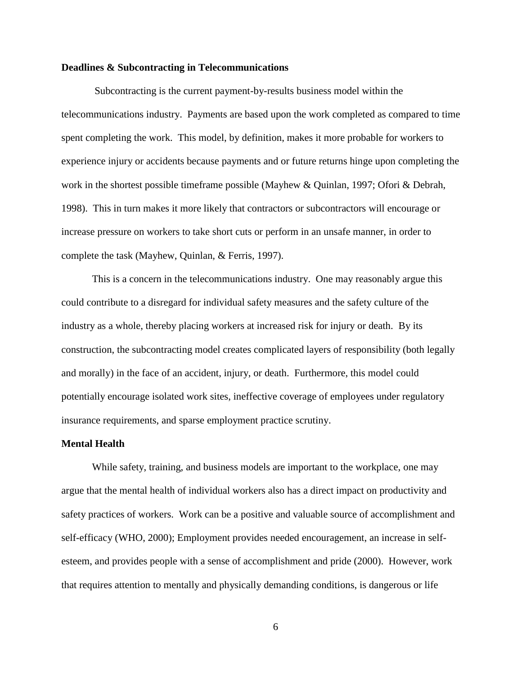#### **Deadlines & Subcontracting in Telecommunications**

Subcontracting is the current payment-by-results business model within the telecommunications industry. Payments are based upon the work completed as compared to time spent completing the work. This model, by definition, makes it more probable for workers to experience injury or accidents because payments and or future returns hinge upon completing the work in the shortest possible timeframe possible (Mayhew & Quinlan, 1997; Ofori & Debrah, 1998). This in turn makes it more likely that contractors or subcontractors will encourage or increase pressure on workers to take short cuts or perform in an unsafe manner, in order to complete the task (Mayhew, Quinlan, & Ferris, 1997).

This is a concern in the telecommunications industry. One may reasonably argue this could contribute to a disregard for individual safety measures and the safety culture of the industry as a whole, thereby placing workers at increased risk for injury or death. By its construction, the subcontracting model creates complicated layers of responsibility (both legally and morally) in the face of an accident, injury, or death. Furthermore, this model could potentially encourage isolated work sites, ineffective coverage of employees under regulatory insurance requirements, and sparse employment practice scrutiny.

#### **Mental Health**

While safety, training, and business models are important to the workplace, one may argue that the mental health of individual workers also has a direct impact on productivity and safety practices of workers. Work can be a positive and valuable source of accomplishment and self-efficacy (WHO, 2000); Employment provides needed encouragement, an increase in selfesteem, and provides people with a sense of accomplishment and pride (2000). However, work that requires attention to mentally and physically demanding conditions, is dangerous or life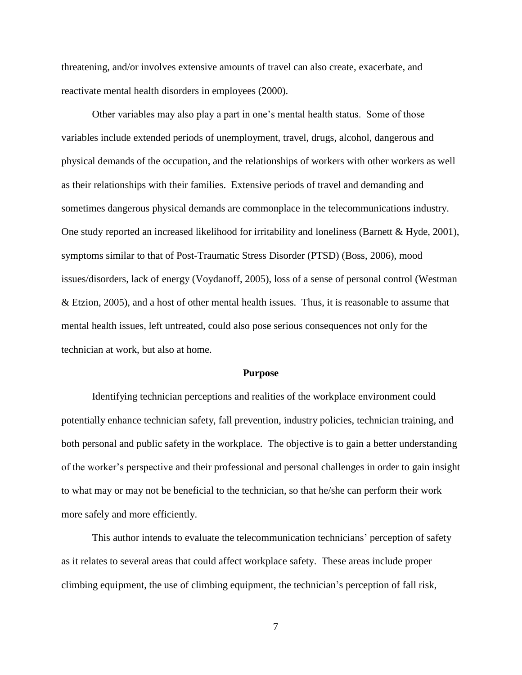threatening, and/or involves extensive amounts of travel can also create, exacerbate, and reactivate mental health disorders in employees (2000).

Other variables may also play a part in one's mental health status. Some of those variables include extended periods of unemployment, travel, drugs, alcohol, dangerous and physical demands of the occupation, and the relationships of workers with other workers as well as their relationships with their families. Extensive periods of travel and demanding and sometimes dangerous physical demands are commonplace in the telecommunications industry. One study reported an increased likelihood for irritability and loneliness (Barnett & Hyde, 2001), symptoms similar to that of Post-Traumatic Stress Disorder (PTSD) (Boss, 2006), mood issues/disorders, lack of energy (Voydanoff, 2005), loss of a sense of personal control (Westman & Etzion, 2005), and a host of other mental health issues. Thus, it is reasonable to assume that mental health issues, left untreated, could also pose serious consequences not only for the technician at work, but also at home.

#### **Purpose**

Identifying technician perceptions and realities of the workplace environment could potentially enhance technician safety, fall prevention, industry policies, technician training, and both personal and public safety in the workplace. The objective is to gain a better understanding of the worker's perspective and their professional and personal challenges in order to gain insight to what may or may not be beneficial to the technician, so that he/she can perform their work more safely and more efficiently.

This author intends to evaluate the telecommunication technicians' perception of safety as it relates to several areas that could affect workplace safety. These areas include proper climbing equipment, the use of climbing equipment, the technician's perception of fall risk,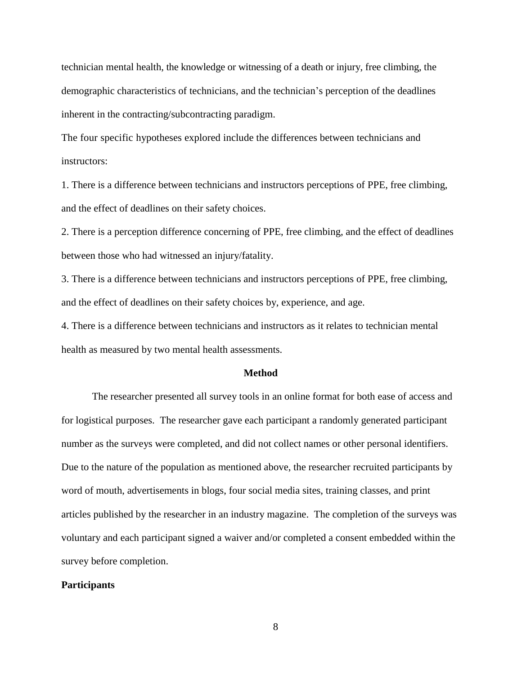technician mental health, the knowledge or witnessing of a death or injury, free climbing, the demographic characteristics of technicians, and the technician's perception of the deadlines inherent in the contracting/subcontracting paradigm.

The four specific hypotheses explored include the differences between technicians and instructors:

1. There is a difference between technicians and instructors perceptions of PPE, free climbing, and the effect of deadlines on their safety choices.

2. There is a perception difference concerning of PPE, free climbing, and the effect of deadlines between those who had witnessed an injury/fatality.

3. There is a difference between technicians and instructors perceptions of PPE, free climbing, and the effect of deadlines on their safety choices by, experience, and age.

4. There is a difference between technicians and instructors as it relates to technician mental health as measured by two mental health assessments.

#### **Method**

The researcher presented all survey tools in an online format for both ease of access and for logistical purposes. The researcher gave each participant a randomly generated participant number as the surveys were completed, and did not collect names or other personal identifiers. Due to the nature of the population as mentioned above, the researcher recruited participants by word of mouth, advertisements in blogs, four social media sites, training classes, and print articles published by the researcher in an industry magazine. The completion of the surveys was voluntary and each participant signed a waiver and/or completed a consent embedded within the survey before completion.

#### **Participants**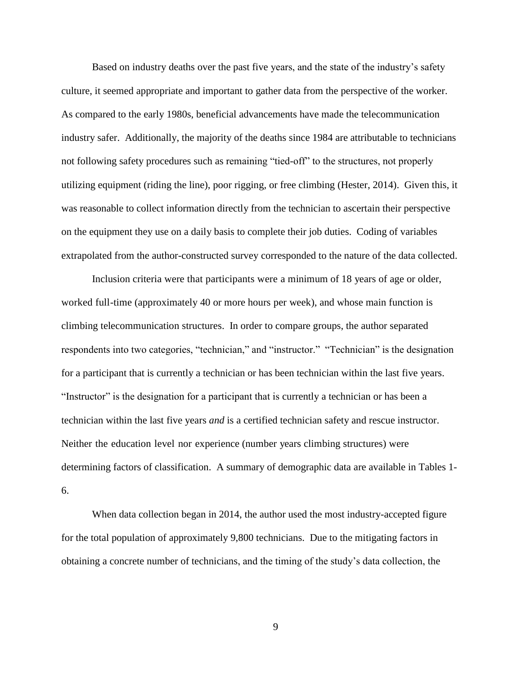Based on industry deaths over the past five years, and the state of the industry's safety culture, it seemed appropriate and important to gather data from the perspective of the worker. As compared to the early 1980s, beneficial advancements have made the telecommunication industry safer. Additionally, the majority of the deaths since 1984 are attributable to technicians not following safety procedures such as remaining "tied-off" to the structures, not properly utilizing equipment (riding the line), poor rigging, or free climbing (Hester, 2014). Given this, it was reasonable to collect information directly from the technician to ascertain their perspective on the equipment they use on a daily basis to complete their job duties. Coding of variables extrapolated from the author-constructed survey corresponded to the nature of the data collected.

Inclusion criteria were that participants were a minimum of 18 years of age or older, worked full-time (approximately 40 or more hours per week), and whose main function is climbing telecommunication structures. In order to compare groups, the author separated respondents into two categories, "technician," and "instructor." "Technician" is the designation for a participant that is currently a technician or has been technician within the last five years. "Instructor" is the designation for a participant that is currently a technician or has been a technician within the last five years *and* is a certified technician safety and rescue instructor. Neither the education level nor experience (number years climbing structures) were determining factors of classification. A summary of demographic data are available in Tables 1- 6.

When data collection began in 2014, the author used the most industry-accepted figure for the total population of approximately 9,800 technicians. Due to the mitigating factors in obtaining a concrete number of technicians, and the timing of the study's data collection, the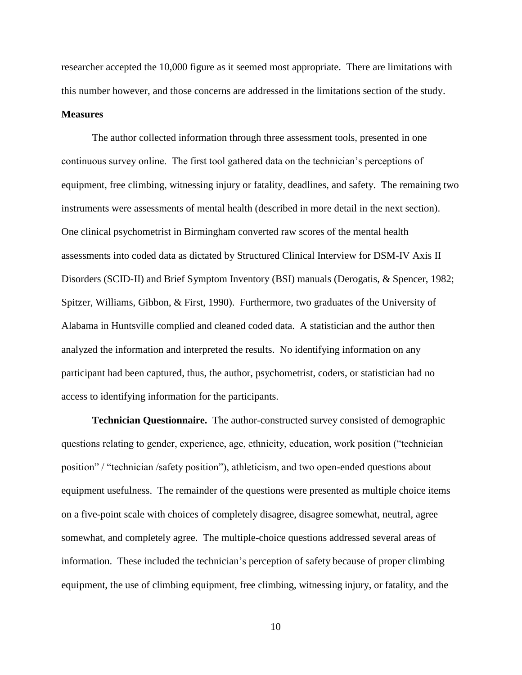researcher accepted the 10,000 figure as it seemed most appropriate. There are limitations with this number however, and those concerns are addressed in the limitations section of the study.

#### **Measures**

The author collected information through three assessment tools, presented in one continuous survey online. The first tool gathered data on the technician's perceptions of equipment, free climbing, witnessing injury or fatality, deadlines, and safety. The remaining two instruments were assessments of mental health (described in more detail in the next section). One clinical psychometrist in Birmingham converted raw scores of the mental health assessments into coded data as dictated by Structured Clinical Interview for DSM-IV Axis II Disorders (SCID-II) and Brief Symptom Inventory (BSI) manuals (Derogatis, & Spencer, 1982; Spitzer, Williams, Gibbon, & First, 1990). Furthermore, two graduates of the University of Alabama in Huntsville complied and cleaned coded data. A statistician and the author then analyzed the information and interpreted the results. No identifying information on any participant had been captured, thus, the author, psychometrist, coders, or statistician had no access to identifying information for the participants.

**Technician Questionnaire.** The author-constructed survey consisted of demographic questions relating to gender, experience, age, ethnicity, education, work position ("technician position" / "technician /safety position"), athleticism, and two open-ended questions about equipment usefulness. The remainder of the questions were presented as multiple choice items on a five-point scale with choices of completely disagree, disagree somewhat, neutral, agree somewhat, and completely agree. The multiple-choice questions addressed several areas of information. These included the technician's perception of safety because of proper climbing equipment, the use of climbing equipment, free climbing, witnessing injury, or fatality, and the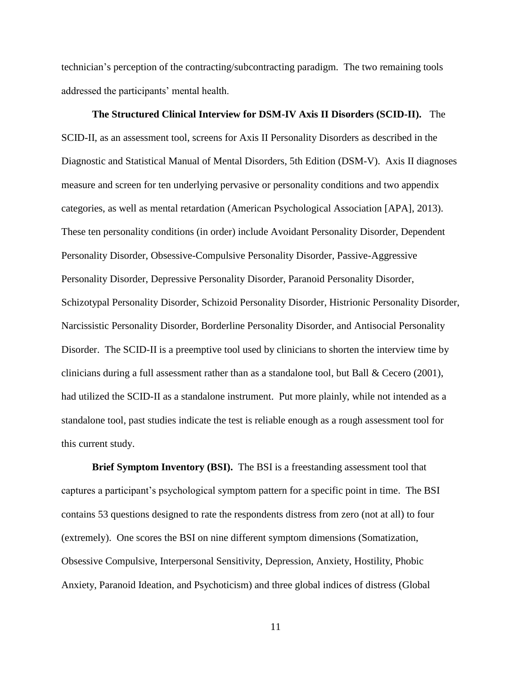technician's perception of the contracting/subcontracting paradigm. The two remaining tools addressed the participants' mental health.

# **The Structured Clinical Interview for DSM-IV Axis II Disorders (SCID-II).**The SCID-II, as an assessment tool, screens for Axis II Personality Disorders as described in the Diagnostic and Statistical Manual of Mental Disorders, 5th Edition (DSM-V). Axis II diagnoses measure and screen for ten underlying pervasive or personality conditions and two appendix categories, as well as mental retardation (American Psychological Association [APA], 2013). These ten personality conditions (in order) include Avoidant Personality Disorder, Dependent Personality Disorder, Obsessive-Compulsive Personality Disorder, Passive-Aggressive Personality Disorder, Depressive Personality Disorder, Paranoid Personality Disorder, Schizotypal Personality Disorder, Schizoid Personality Disorder, Histrionic Personality Disorder, Narcissistic Personality Disorder, Borderline Personality Disorder, and Antisocial Personality Disorder. The SCID-II is a preemptive tool used by clinicians to shorten the interview time by clinicians during a full assessment rather than as a standalone tool, but Ball & Cecero (2001), had utilized the SCID-II as a standalone instrument. Put more plainly, while not intended as a standalone tool, past studies indicate the test is reliable enough as a rough assessment tool for this current study.

**Brief Symptom Inventory (BSI).**The BSI is a freestanding assessment tool that captures a participant's psychological symptom pattern for a specific point in time. The BSI contains 53 questions designed to rate the respondents distress from zero (not at all) to four (extremely). One scores the BSI on nine different symptom dimensions (Somatization, Obsessive Compulsive, Interpersonal Sensitivity, Depression, Anxiety, Hostility, Phobic Anxiety, Paranoid Ideation, and Psychoticism) and three global indices of distress (Global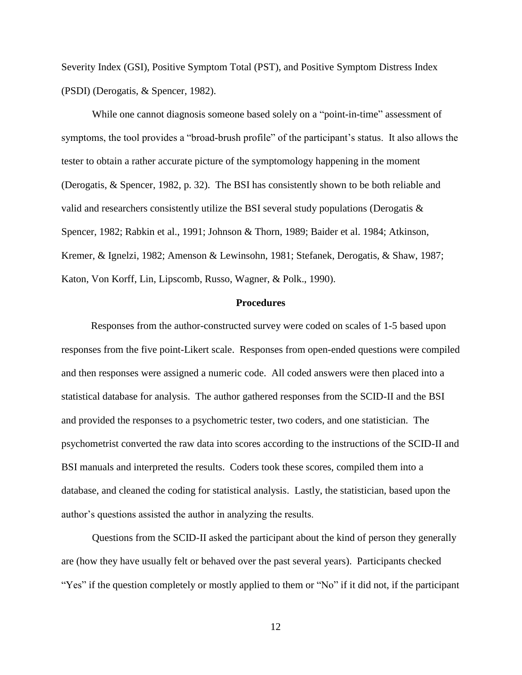Severity Index (GSI), Positive Symptom Total (PST), and Positive Symptom Distress Index (PSDI) (Derogatis, & Spencer, 1982).

While one cannot diagnosis someone based solely on a "point-in-time" assessment of symptoms, the tool provides a "broad-brush profile" of the participant's status. It also allows the tester to obtain a rather accurate picture of the symptomology happening in the moment (Derogatis, & Spencer, 1982, p. 32). The BSI has consistently shown to be both reliable and valid and researchers consistently utilize the BSI several study populations (Derogatis & Spencer, 1982; Rabkin et al., 1991; Johnson & Thorn, 1989; Baider et al. 1984; Atkinson, Kremer, & Ignelzi, 1982; Amenson & Lewinsohn, 1981; Stefanek, Derogatis, & Shaw, 1987; Katon, Von Korff, Lin, Lipscomb, Russo, Wagner, & Polk., 1990).

#### **Procedures**

Responses from the author-constructed survey were coded on scales of 1-5 based upon responses from the five point-Likert scale. Responses from open-ended questions were compiled and then responses were assigned a numeric code. All coded answers were then placed into a statistical database for analysis. The author gathered responses from the SCID-II and the BSI and provided the responses to a psychometric tester, two coders, and one statistician. The psychometrist converted the raw data into scores according to the instructions of the SCID-II and BSI manuals and interpreted the results. Coders took these scores, compiled them into a database, and cleaned the coding for statistical analysis. Lastly, the statistician, based upon the author's questions assisted the author in analyzing the results.

Questions from the SCID-II asked the participant about the kind of person they generally are (how they have usually felt or behaved over the past several years). Participants checked "Yes" if the question completely or mostly applied to them or "No" if it did not, if the participant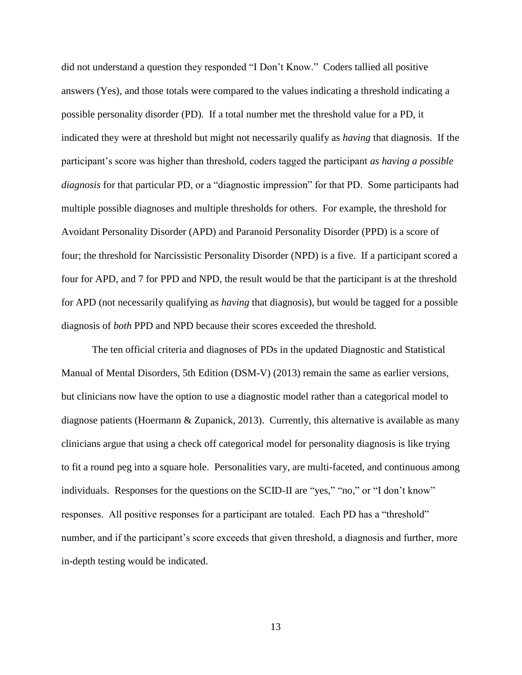did not understand a question they responded "I Don't Know." Coders tallied all positive answers (Yes), and those totals were compared to the values indicating a threshold indicating a possible personality disorder (PD). If a total number met the threshold value for a PD, it indicated they were at threshold but might not necessarily qualify as *having* that diagnosis. If the participant's score was higher than threshold, coders tagged the participant *as having a possible diagnosis* for that particular PD, or a "diagnostic impression" for that PD. Some participants had multiple possible diagnoses and multiple thresholds for others. For example, the threshold for Avoidant Personality Disorder (APD) and Paranoid Personality Disorder (PPD) is a score of four; the threshold for Narcissistic Personality Disorder (NPD) is a five. If a participant scored a four for APD, and 7 for PPD and NPD, the result would be that the participant is at the threshold for APD (not necessarily qualifying as *having* that diagnosis), but would be tagged for a possible diagnosis of *both* PPD and NPD because their scores exceeded the threshold.

The ten official criteria and diagnoses of PDs in the updated Diagnostic and Statistical Manual of Mental Disorders, 5th Edition (DSM-V) (2013) remain the same as earlier versions, but clinicians now have the option to use a diagnostic model rather than a categorical model to diagnose patients (Hoermann & Zupanick, 2013). Currently, this alternative is available as many clinicians argue that using a check off categorical model for personality diagnosis is like trying to fit a round peg into a square hole. Personalities vary, are multi-faceted, and continuous among individuals. Responses for the questions on the SCID-II are "yes," "no," or "I don't know" responses. All positive responses for a participant are totaled. Each PD has a "threshold" number, and if the participant's score exceeds that given threshold, a diagnosis and further, more in-depth testing would be indicated.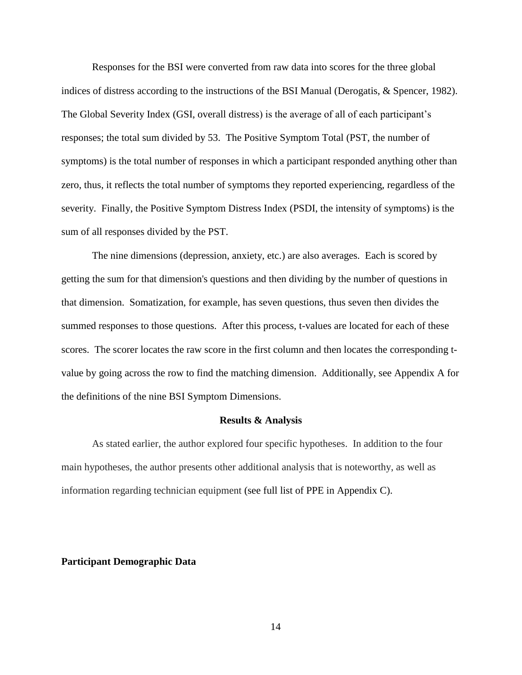Responses for the BSI were converted from raw data into scores for the three global indices of distress according to the instructions of the BSI Manual (Derogatis, & Spencer, 1982). The Global Severity Index (GSI, overall distress) is the average of all of each participant's responses; the total sum divided by 53. The Positive Symptom Total (PST, the number of symptoms) is the total number of responses in which a participant responded anything other than zero, thus, it reflects the total number of symptoms they reported experiencing, regardless of the severity. Finally, the Positive Symptom Distress Index (PSDI, the intensity of symptoms) is the sum of all responses divided by the PST.

The nine dimensions (depression, anxiety, etc.) are also averages. Each is scored by getting the sum for that dimension's questions and then dividing by the number of questions in that dimension. Somatization, for example, has seven questions, thus seven then divides the summed responses to those questions. After this process, t-values are located for each of these scores. The scorer locates the raw score in the first column and then locates the corresponding tvalue by going across the row to find the matching dimension. Additionally, see Appendix A for the definitions of the nine BSI Symptom Dimensions.

#### **Results & Analysis**

As stated earlier, the author explored four specific hypotheses. In addition to the four main hypotheses, the author presents other additional analysis that is noteworthy, as well as information regarding technician equipment (see full list of PPE in Appendix C).

#### **Participant Demographic Data**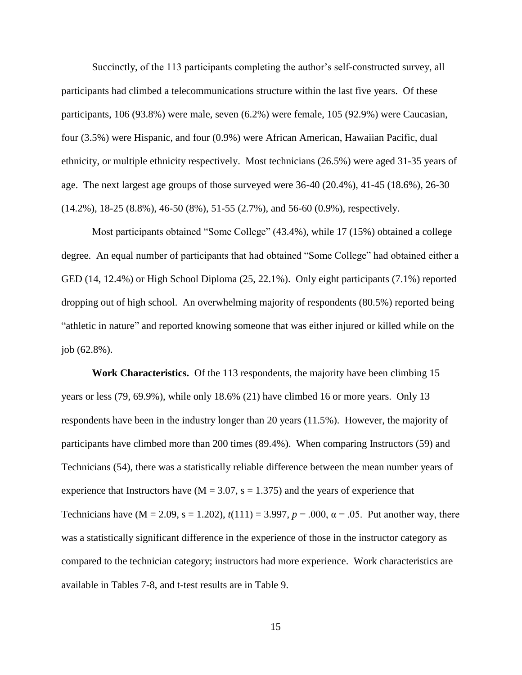Succinctly, of the 113 participants completing the author's self-constructed survey, all participants had climbed a telecommunications structure within the last five years. Of these participants, 106 (93.8%) were male, seven (6.2%) were female, 105 (92.9%) were Caucasian, four (3.5%) were Hispanic, and four (0.9%) were African American, Hawaiian Pacific, dual ethnicity, or multiple ethnicity respectively. Most technicians (26.5%) were aged 31-35 years of age. The next largest age groups of those surveyed were 36-40 (20.4%), 41-45 (18.6%), 26-30 (14.2%), 18-25 (8.8%), 46-50 (8%), 51-55 (2.7%), and 56-60 (0.9%), respectively.

Most participants obtained "Some College" (43.4%), while 17 (15%) obtained a college degree. An equal number of participants that had obtained "Some College" had obtained either a GED (14, 12.4%) or High School Diploma (25, 22.1%). Only eight participants (7.1%) reported dropping out of high school. An overwhelming majority of respondents (80.5%) reported being "athletic in nature" and reported knowing someone that was either injured or killed while on the job (62.8%).

**Work Characteristics.** Of the 113 respondents, the majority have been climbing 15 years or less (79, 69.9%), while only 18.6% (21) have climbed 16 or more years. Only 13 respondents have been in the industry longer than 20 years (11.5%). However, the majority of participants have climbed more than 200 times (89.4%). When comparing Instructors (59) and Technicians (54), there was a statistically reliable difference between the mean number years of experience that Instructors have  $(M = 3.07, s = 1.375)$  and the years of experience that Technicians have ( $M = 2.09$ ,  $s = 1.202$ ),  $t(111) = 3.997$ ,  $p = .000$ ,  $\alpha = .05$ . Put another way, there was a statistically significant difference in the experience of those in the instructor category as compared to the technician category; instructors had more experience. Work characteristics are available in Tables 7-8, and t-test results are in Table 9.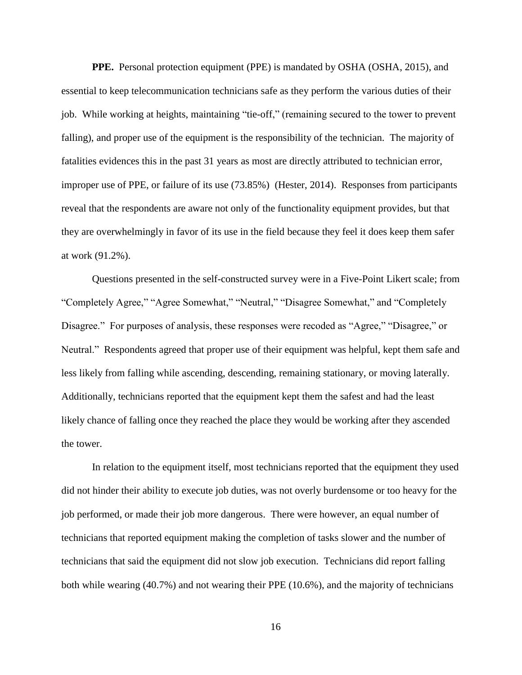**PPE.** Personal protection equipment (PPE) is mandated by OSHA (OSHA, 2015), and essential to keep telecommunication technicians safe as they perform the various duties of their job. While working at heights, maintaining "tie-off," (remaining secured to the tower to prevent falling), and proper use of the equipment is the responsibility of the technician. The majority of fatalities evidences this in the past 31 years as most are directly attributed to technician error, improper use of PPE, or failure of its use (73.85%) (Hester, 2014). Responses from participants reveal that the respondents are aware not only of the functionality equipment provides, but that they are overwhelmingly in favor of its use in the field because they feel it does keep them safer at work (91.2%).

Questions presented in the self-constructed survey were in a Five-Point Likert scale; from "Completely Agree," "Agree Somewhat," "Neutral," "Disagree Somewhat," and "Completely Disagree." For purposes of analysis, these responses were recoded as "Agree," "Disagree," or Neutral." Respondents agreed that proper use of their equipment was helpful, kept them safe and less likely from falling while ascending, descending, remaining stationary, or moving laterally. Additionally, technicians reported that the equipment kept them the safest and had the least likely chance of falling once they reached the place they would be working after they ascended the tower.

In relation to the equipment itself, most technicians reported that the equipment they used did not hinder their ability to execute job duties, was not overly burdensome or too heavy for the job performed, or made their job more dangerous. There were however, an equal number of technicians that reported equipment making the completion of tasks slower and the number of technicians that said the equipment did not slow job execution. Technicians did report falling both while wearing (40.7%) and not wearing their PPE (10.6%), and the majority of technicians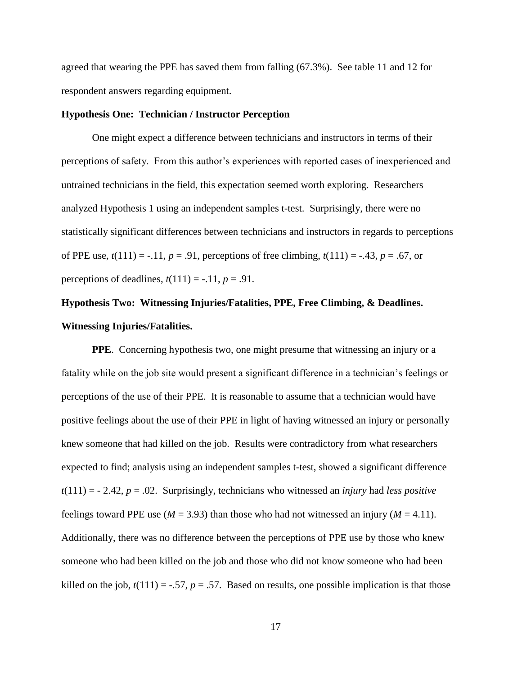agreed that wearing the PPE has saved them from falling (67.3%). See table 11 and 12 for respondent answers regarding equipment.

#### **Hypothesis One: Technician / Instructor Perception**

One might expect a difference between technicians and instructors in terms of their perceptions of safety. From this author's experiences with reported cases of inexperienced and untrained technicians in the field, this expectation seemed worth exploring. Researchers analyzed Hypothesis 1 using an independent samples t-test. Surprisingly, there were no statistically significant differences between technicians and instructors in regards to perceptions of PPE use,  $t(111) = -0.11$ ,  $p = 0.91$ , perceptions of free climbing,  $t(111) = -0.43$ ,  $p = 0.67$ , or perceptions of deadlines,  $t(111) = -.11$ ,  $p = .91$ .

# **Hypothesis Two: Witnessing Injuries/Fatalities, PPE, Free Climbing, & Deadlines. Witnessing Injuries/Fatalities.**

**PPE**. Concerning hypothesis two, one might presume that witnessing an injury or a fatality while on the job site would present a significant difference in a technician's feelings or perceptions of the use of their PPE. It is reasonable to assume that a technician would have positive feelings about the use of their PPE in light of having witnessed an injury or personally knew someone that had killed on the job. Results were contradictory from what researchers expected to find; analysis using an independent samples t-test, showed a significant difference *t*(111) = - 2.42, *p* = .02. Surprisingly, technicians who witnessed an *injury* had *less positive* feelings toward PPE use ( $M = 3.93$ ) than those who had not witnessed an injury ( $M = 4.11$ ). Additionally, there was no difference between the perceptions of PPE use by those who knew someone who had been killed on the job and those who did not know someone who had been killed on the job,  $t(111) = -.57$ ,  $p = .57$ . Based on results, one possible implication is that those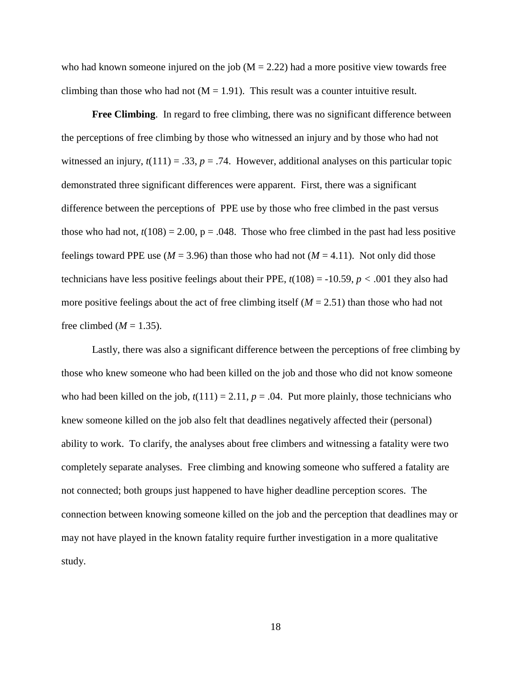who had known someone injured on the job  $(M = 2.22)$  had a more positive view towards free climbing than those who had not  $(M = 1.91)$ . This result was a counter intuitive result.

**Free Climbing**. In regard to free climbing, there was no significant difference between the perceptions of free climbing by those who witnessed an injury and by those who had not witnessed an injury,  $t(111) = .33$ ,  $p = .74$ . However, additional analyses on this particular topic demonstrated three significant differences were apparent. First, there was a significant difference between the perceptions of PPE use by those who free climbed in the past versus those who had not,  $t(108) = 2.00$ ,  $p = .048$ . Those who free climbed in the past had less positive feelings toward PPE use ( $M = 3.96$ ) than those who had not ( $M = 4.11$ ). Not only did those technicians have less positive feelings about their PPE,  $t(108) = -10.59$ ,  $p < .001$  they also had more positive feelings about the act of free climbing itself  $(M = 2.51)$  than those who had not free climbed ( $M = 1.35$ ).

Lastly, there was also a significant difference between the perceptions of free climbing by those who knew someone who had been killed on the job and those who did not know someone who had been killed on the job,  $t(111) = 2.11$ ,  $p = .04$ . Put more plainly, those technicians who knew someone killed on the job also felt that deadlines negatively affected their (personal) ability to work. To clarify, the analyses about free climbers and witnessing a fatality were two completely separate analyses. Free climbing and knowing someone who suffered a fatality are not connected; both groups just happened to have higher deadline perception scores. The connection between knowing someone killed on the job and the perception that deadlines may or may not have played in the known fatality require further investigation in a more qualitative study.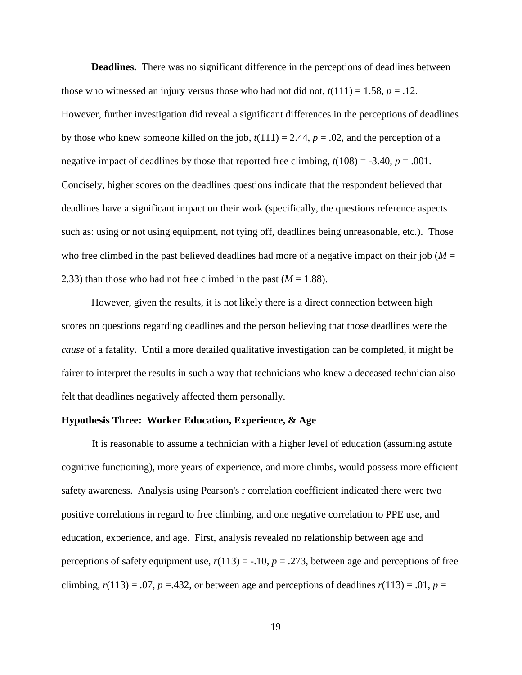**Deadlines.** There was no significant difference in the perceptions of deadlines between those who witnessed an injury versus those who had not did not,  $t(111) = 1.58$ ,  $p = .12$ . However, further investigation did reveal a significant differences in the perceptions of deadlines by those who knew someone killed on the job,  $t(111) = 2.44$ ,  $p = .02$ , and the perception of a negative impact of deadlines by those that reported free climbing,  $t(108) = -3.40$ ,  $p = .001$ . Concisely, higher scores on the deadlines questions indicate that the respondent believed that deadlines have a significant impact on their work (specifically, the questions reference aspects such as: using or not using equipment, not tying off, deadlines being unreasonable, etc.). Those who free climbed in the past believed deadlines had more of a negative impact on their job ( $M =$ 2.33) than those who had not free climbed in the past  $(M = 1.88)$ .

However, given the results, it is not likely there is a direct connection between high scores on questions regarding deadlines and the person believing that those deadlines were the *cause* of a fatality. Until a more detailed qualitative investigation can be completed, it might be fairer to interpret the results in such a way that technicians who knew a deceased technician also felt that deadlines negatively affected them personally.

#### **Hypothesis Three: Worker Education, Experience, & Age**

It is reasonable to assume a technician with a higher level of education (assuming astute cognitive functioning), more years of experience, and more climbs, would possess more efficient safety awareness. Analysis using Pearson's r correlation coefficient indicated there were two positive correlations in regard to free climbing, and one negative correlation to PPE use, and education, experience, and age. First, analysis revealed no relationship between age and perceptions of safety equipment use,  $r(113) = -.10$ ,  $p = .273$ , between age and perceptions of free climbing,  $r(113) = .07$ ,  $p = .432$ , or between age and perceptions of deadlines  $r(113) = .01$ ,  $p =$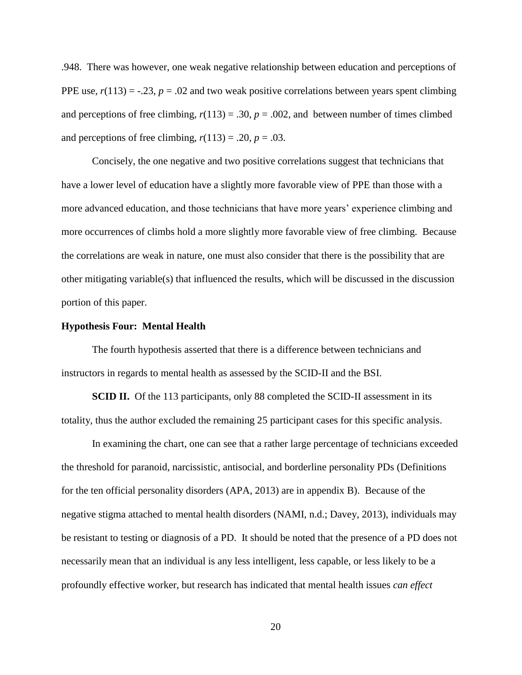.948. There was however, one weak negative relationship between education and perceptions of PPE use,  $r(113) = -.23$ ,  $p = .02$  and two weak positive correlations between years spent climbing and perceptions of free climbing,  $r(113) = .30$ ,  $p = .002$ , and between number of times climbed and perceptions of free climbing,  $r(113) = .20$ ,  $p = .03$ .

Concisely, the one negative and two positive correlations suggest that technicians that have a lower level of education have a slightly more favorable view of PPE than those with a more advanced education, and those technicians that have more years' experience climbing and more occurrences of climbs hold a more slightly more favorable view of free climbing. Because the correlations are weak in nature, one must also consider that there is the possibility that are other mitigating variable(s) that influenced the results, which will be discussed in the discussion portion of this paper.

#### **Hypothesis Four: Mental Health**

The fourth hypothesis asserted that there is a difference between technicians and instructors in regards to mental health as assessed by the SCID-II and the BSI.

**SCID II.** Of the 113 participants, only 88 completed the SCID-II assessment in its totality, thus the author excluded the remaining 25 participant cases for this specific analysis.

In examining the chart, one can see that a rather large percentage of technicians exceeded the threshold for paranoid, narcissistic, antisocial, and borderline personality PDs (Definitions for the ten official personality disorders (APA, 2013) are in appendix B). Because of the negative stigma attached to mental health disorders (NAMI, n.d.; Davey, 2013), individuals may be resistant to testing or diagnosis of a PD. It should be noted that the presence of a PD does not necessarily mean that an individual is any less intelligent, less capable, or less likely to be a profoundly effective worker, but research has indicated that mental health issues *can effect*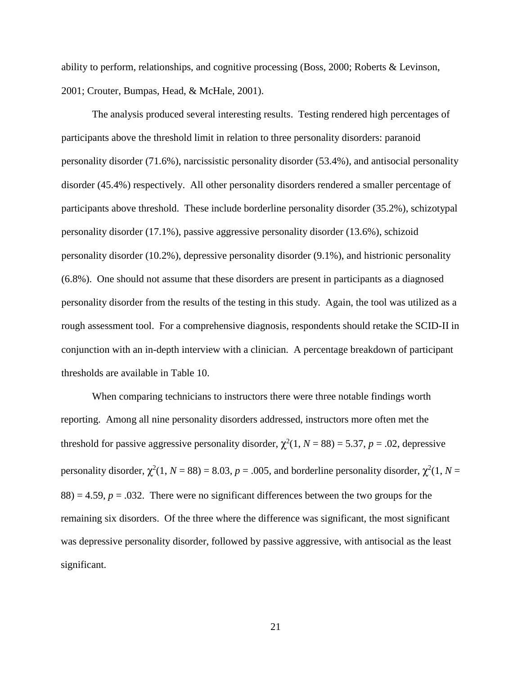ability to perform, relationships, and cognitive processing (Boss, 2000; Roberts & Levinson, 2001; Crouter, Bumpas, Head, & McHale, 2001).

The analysis produced several interesting results. Testing rendered high percentages of participants above the threshold limit in relation to three personality disorders: paranoid personality disorder (71.6%), narcissistic personality disorder (53.4%), and antisocial personality disorder (45.4%) respectively. All other personality disorders rendered a smaller percentage of participants above threshold. These include borderline personality disorder (35.2%), schizotypal personality disorder (17.1%), passive aggressive personality disorder (13.6%), schizoid personality disorder (10.2%), depressive personality disorder (9.1%), and histrionic personality (6.8%). One should not assume that these disorders are present in participants as a diagnosed personality disorder from the results of the testing in this study. Again, the tool was utilized as a rough assessment tool. For a comprehensive diagnosis, respondents should retake the SCID-II in conjunction with an in-depth interview with a clinician. A percentage breakdown of participant thresholds are available in Table 10.

When comparing technicians to instructors there were three notable findings worth reporting. Among all nine personality disorders addressed, instructors more often met the threshold for passive aggressive personality disorder,  $\chi^2(1, N = 88) = 5.37$ ,  $p = .02$ , depressive personality disorder,  $\chi^2(1, N = 88) = 8.03$ ,  $p = .005$ , and borderline personality disorder,  $\chi^2(1, N = 1)$  $88$ ) = 4.59,  $p = 0.032$ . There were no significant differences between the two groups for the remaining six disorders. Of the three where the difference was significant, the most significant was depressive personality disorder, followed by passive aggressive, with antisocial as the least significant.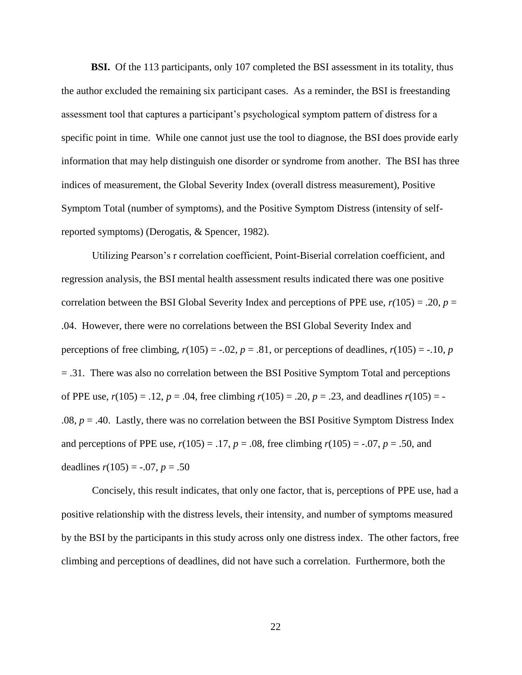**BSI.** Of the 113 participants, only 107 completed the BSI assessment in its totality, thus the author excluded the remaining six participant cases. As a reminder, the BSI is freestanding assessment tool that captures a participant's psychological symptom pattern of distress for a specific point in time. While one cannot just use the tool to diagnose, the BSI does provide early information that may help distinguish one disorder or syndrome from another. The BSI has three indices of measurement, the Global Severity Index (overall distress measurement), Positive Symptom Total (number of symptoms), and the Positive Symptom Distress (intensity of selfreported symptoms) (Derogatis, & Spencer, 1982).

Utilizing Pearson's r correlation coefficient, Point-Biserial correlation coefficient, and regression analysis, the BSI mental health assessment results indicated there was one positive correlation between the BSI Global Severity Index and perceptions of PPE use,  $r(105) = .20$ ,  $p =$ .04. However, there were no correlations between the BSI Global Severity Index and perceptions of free climbing,  $r(105) = -.02$ ,  $p = .81$ , or perceptions of deadlines,  $r(105) = -.10$ ,  $p = .10$ = .31. There was also no correlation between the BSI Positive Symptom Total and perceptions of PPE use,  $r(105) = .12$ ,  $p = .04$ , free climbing  $r(105) = .20$ ,  $p = .23$ , and deadlines  $r(105) = -$ .08,  $p = .40$ . Lastly, there was no correlation between the BSI Positive Symptom Distress Index and perceptions of PPE use,  $r(105) = .17$ ,  $p = .08$ , free climbing  $r(105) = .07$ ,  $p = .50$ , and deadlines  $r(105) = -.07$ ,  $p = .50$ 

Concisely, this result indicates, that only one factor, that is, perceptions of PPE use, had a positive relationship with the distress levels, their intensity, and number of symptoms measured by the BSI by the participants in this study across only one distress index. The other factors, free climbing and perceptions of deadlines, did not have such a correlation. Furthermore, both the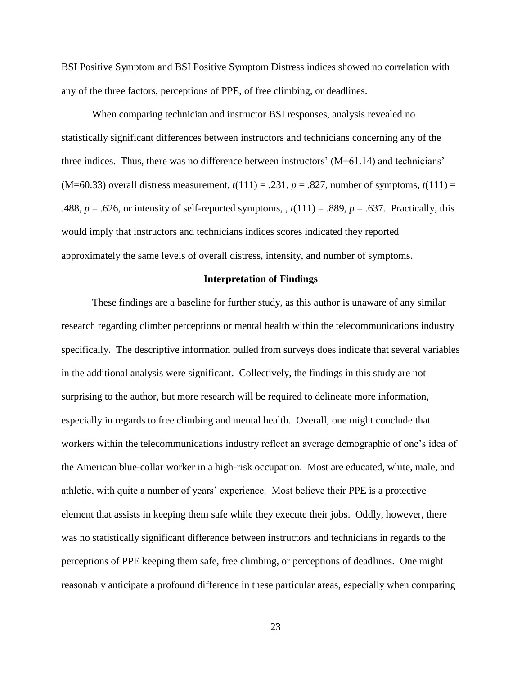BSI Positive Symptom and BSI Positive Symptom Distress indices showed no correlation with any of the three factors, perceptions of PPE, of free climbing, or deadlines.

When comparing technician and instructor BSI responses, analysis revealed no statistically significant differences between instructors and technicians concerning any of the three indices. Thus, there was no difference between instructors' (M=61.14) and technicians'  $(M=60.33)$  overall distress measurement,  $t(111) = .231$ ,  $p = .827$ , number of symptoms,  $t(111) =$ .488,  $p = .626$ , or intensity of self-reported symptoms,  $t(111) = .889$ ,  $p = .637$ . Practically, this would imply that instructors and technicians indices scores indicated they reported approximately the same levels of overall distress, intensity, and number of symptoms.

#### **Interpretation of Findings**

These findings are a baseline for further study, as this author is unaware of any similar research regarding climber perceptions or mental health within the telecommunications industry specifically. The descriptive information pulled from surveys does indicate that several variables in the additional analysis were significant. Collectively, the findings in this study are not surprising to the author, but more research will be required to delineate more information, especially in regards to free climbing and mental health. Overall, one might conclude that workers within the telecommunications industry reflect an average demographic of one's idea of the American blue-collar worker in a high-risk occupation. Most are educated, white, male, and athletic, with quite a number of years' experience. Most believe their PPE is a protective element that assists in keeping them safe while they execute their jobs. Oddly, however, there was no statistically significant difference between instructors and technicians in regards to the perceptions of PPE keeping them safe, free climbing, or perceptions of deadlines. One might reasonably anticipate a profound difference in these particular areas, especially when comparing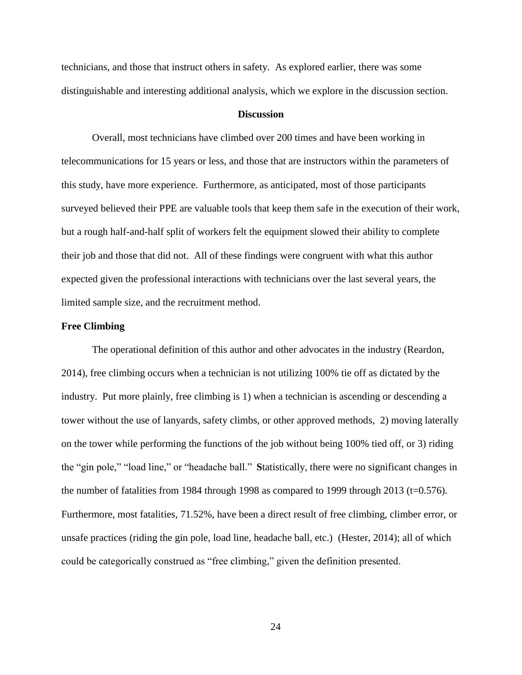technicians, and those that instruct others in safety. As explored earlier, there was some distinguishable and interesting additional analysis, which we explore in the discussion section.

#### **Discussion**

Overall, most technicians have climbed over 200 times and have been working in telecommunications for 15 years or less, and those that are instructors within the parameters of this study, have more experience. Furthermore, as anticipated, most of those participants surveyed believed their PPE are valuable tools that keep them safe in the execution of their work, but a rough half-and-half split of workers felt the equipment slowed their ability to complete their job and those that did not. All of these findings were congruent with what this author expected given the professional interactions with technicians over the last several years, the limited sample size, and the recruitment method.

#### **Free Climbing**

The operational definition of this author and other advocates in the industry (Reardon, 2014), free climbing occurs when a technician is not utilizing 100% tie off as dictated by the industry. Put more plainly, free climbing is 1) when a technician is ascending or descending a tower without the use of lanyards, safety climbs, or other approved methods, 2) moving laterally on the tower while performing the functions of the job without being 100% tied off, or 3) riding the "gin pole," "load line," or "headache ball." **S**tatistically, there were no significant changes in the number of fatalities from 1984 through 1998 as compared to 1999 through 2013 (t=0.576). Furthermore, most fatalities, 71.52%, have been a direct result of free climbing, climber error, or unsafe practices (riding the gin pole, load line, headache ball, etc.) (Hester, 2014); all of which could be categorically construed as "free climbing," given the definition presented.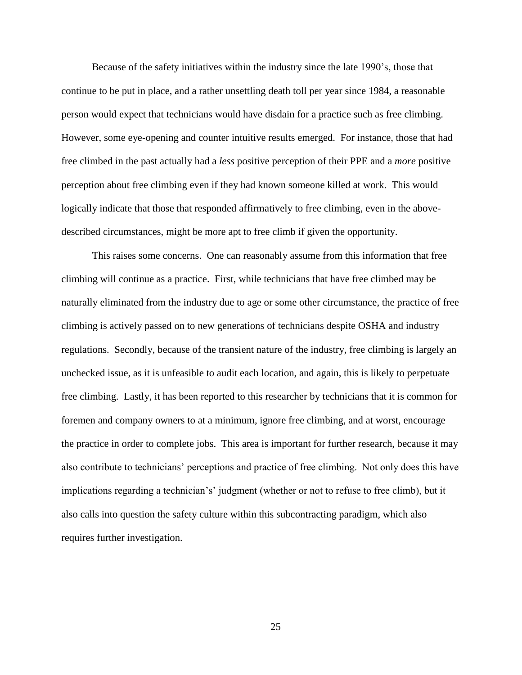Because of the safety initiatives within the industry since the late 1990's, those that continue to be put in place, and a rather unsettling death toll per year since 1984, a reasonable person would expect that technicians would have disdain for a practice such as free climbing. However, some eye-opening and counter intuitive results emerged. For instance, those that had free climbed in the past actually had a *less* positive perception of their PPE and a *more* positive perception about free climbing even if they had known someone killed at work. This would logically indicate that those that responded affirmatively to free climbing, even in the abovedescribed circumstances, might be more apt to free climb if given the opportunity.

This raises some concerns. One can reasonably assume from this information that free climbing will continue as a practice. First, while technicians that have free climbed may be naturally eliminated from the industry due to age or some other circumstance, the practice of free climbing is actively passed on to new generations of technicians despite OSHA and industry regulations. Secondly, because of the transient nature of the industry, free climbing is largely an unchecked issue, as it is unfeasible to audit each location, and again, this is likely to perpetuate free climbing. Lastly, it has been reported to this researcher by technicians that it is common for foremen and company owners to at a minimum, ignore free climbing, and at worst, encourage the practice in order to complete jobs. This area is important for further research, because it may also contribute to technicians' perceptions and practice of free climbing. Not only does this have implications regarding a technician's' judgment (whether or not to refuse to free climb), but it also calls into question the safety culture within this subcontracting paradigm, which also requires further investigation.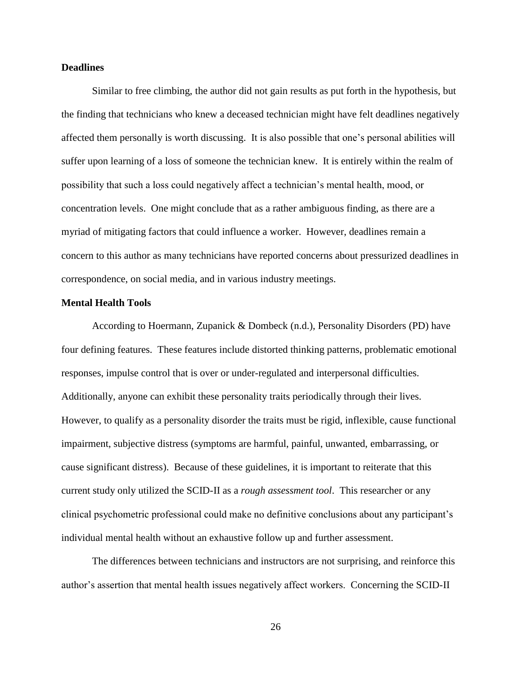#### **Deadlines**

Similar to free climbing, the author did not gain results as put forth in the hypothesis, but the finding that technicians who knew a deceased technician might have felt deadlines negatively affected them personally is worth discussing. It is also possible that one's personal abilities will suffer upon learning of a loss of someone the technician knew. It is entirely within the realm of possibility that such a loss could negatively affect a technician's mental health, mood, or concentration levels. One might conclude that as a rather ambiguous finding, as there are a myriad of mitigating factors that could influence a worker. However, deadlines remain a concern to this author as many technicians have reported concerns about pressurized deadlines in correspondence, on social media, and in various industry meetings.

#### **Mental Health Tools**

According to Hoermann, Zupanick & Dombeck (n.d.), Personality Disorders (PD) have four defining features. These features include distorted thinking patterns, problematic emotional responses, impulse control that is over or under-regulated and interpersonal difficulties. Additionally, anyone can exhibit these personality traits periodically through their lives. However, to qualify as a personality disorder the traits must be rigid, inflexible, cause functional impairment, subjective distress (symptoms are harmful, painful, unwanted, embarrassing, or cause significant distress). Because of these guidelines, it is important to reiterate that this current study only utilized the SCID-II as a *rough assessment tool*. This researcher or any clinical psychometric professional could make no definitive conclusions about any participant's individual mental health without an exhaustive follow up and further assessment.

The differences between technicians and instructors are not surprising, and reinforce this author's assertion that mental health issues negatively affect workers. Concerning the SCID-II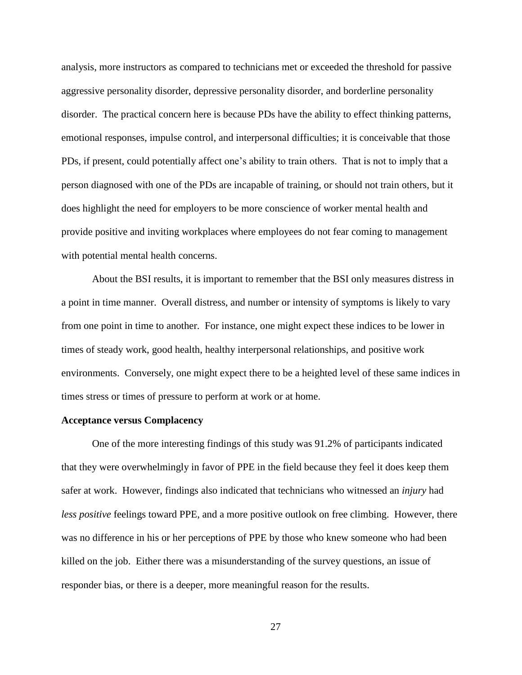analysis, more instructors as compared to technicians met or exceeded the threshold for passive aggressive personality disorder, depressive personality disorder, and borderline personality disorder. The practical concern here is because PDs have the ability to effect thinking patterns, emotional responses, impulse control, and interpersonal difficulties; it is conceivable that those PDs, if present, could potentially affect one's ability to train others. That is not to imply that a person diagnosed with one of the PDs are incapable of training, or should not train others, but it does highlight the need for employers to be more conscience of worker mental health and provide positive and inviting workplaces where employees do not fear coming to management with potential mental health concerns.

About the BSI results, it is important to remember that the BSI only measures distress in a point in time manner. Overall distress, and number or intensity of symptoms is likely to vary from one point in time to another. For instance, one might expect these indices to be lower in times of steady work, good health, healthy interpersonal relationships, and positive work environments. Conversely, one might expect there to be a heighted level of these same indices in times stress or times of pressure to perform at work or at home.

#### **Acceptance versus Complacency**

One of the more interesting findings of this study was 91.2% of participants indicated that they were overwhelmingly in favor of PPE in the field because they feel it does keep them safer at work. However, findings also indicated that technicians who witnessed an *injury* had *less positive* feelings toward PPE, and a more positive outlook on free climbing. However, there was no difference in his or her perceptions of PPE by those who knew someone who had been killed on the job. Either there was a misunderstanding of the survey questions, an issue of responder bias, or there is a deeper, more meaningful reason for the results.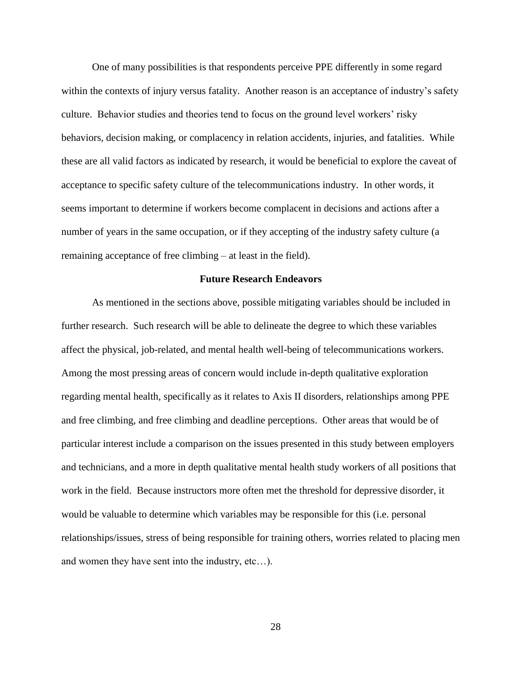One of many possibilities is that respondents perceive PPE differently in some regard within the contexts of injury versus fatality. Another reason is an acceptance of industry's safety culture. Behavior studies and theories tend to focus on the ground level workers' risky behaviors, decision making, or complacency in relation accidents, injuries, and fatalities. While these are all valid factors as indicated by research, it would be beneficial to explore the caveat of acceptance to specific safety culture of the telecommunications industry. In other words, it seems important to determine if workers become complacent in decisions and actions after a number of years in the same occupation, or if they accepting of the industry safety culture (a remaining acceptance of free climbing – at least in the field).

#### **Future Research Endeavors**

As mentioned in the sections above, possible mitigating variables should be included in further research. Such research will be able to delineate the degree to which these variables affect the physical, job-related, and mental health well-being of telecommunications workers. Among the most pressing areas of concern would include in-depth qualitative exploration regarding mental health, specifically as it relates to Axis II disorders, relationships among PPE and free climbing, and free climbing and deadline perceptions. Other areas that would be of particular interest include a comparison on the issues presented in this study between employers and technicians, and a more in depth qualitative mental health study workers of all positions that work in the field. Because instructors more often met the threshold for depressive disorder, it would be valuable to determine which variables may be responsible for this (i.e. personal relationships/issues, stress of being responsible for training others, worries related to placing men and women they have sent into the industry, etc…).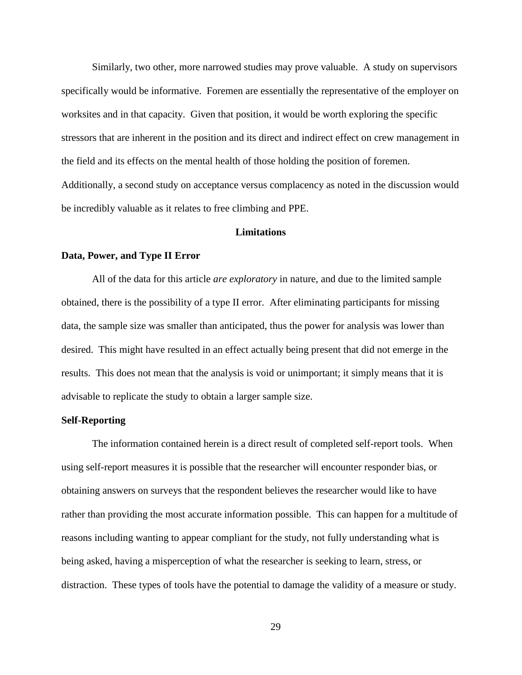Similarly, two other, more narrowed studies may prove valuable. A study on supervisors specifically would be informative. Foremen are essentially the representative of the employer on worksites and in that capacity. Given that position, it would be worth exploring the specific stressors that are inherent in the position and its direct and indirect effect on crew management in the field and its effects on the mental health of those holding the position of foremen. Additionally, a second study on acceptance versus complacency as noted in the discussion would be incredibly valuable as it relates to free climbing and PPE.

#### **Limitations**

#### **Data, Power, and Type II Error**

All of the data for this article *are exploratory* in nature, and due to the limited sample obtained, there is the possibility of a type II error. After eliminating participants for missing data, the sample size was smaller than anticipated, thus the power for analysis was lower than desired. This might have resulted in an effect actually being present that did not emerge in the results. This does not mean that the analysis is void or unimportant; it simply means that it is advisable to replicate the study to obtain a larger sample size.

#### **Self-Reporting**

The information contained herein is a direct result of completed self-report tools. When using self-report measures it is possible that the researcher will encounter responder bias, or obtaining answers on surveys that the respondent believes the researcher would like to have rather than providing the most accurate information possible. This can happen for a multitude of reasons including wanting to appear compliant for the study, not fully understanding what is being asked, having a misperception of what the researcher is seeking to learn, stress, or distraction. These types of tools have the potential to damage the validity of a measure or study.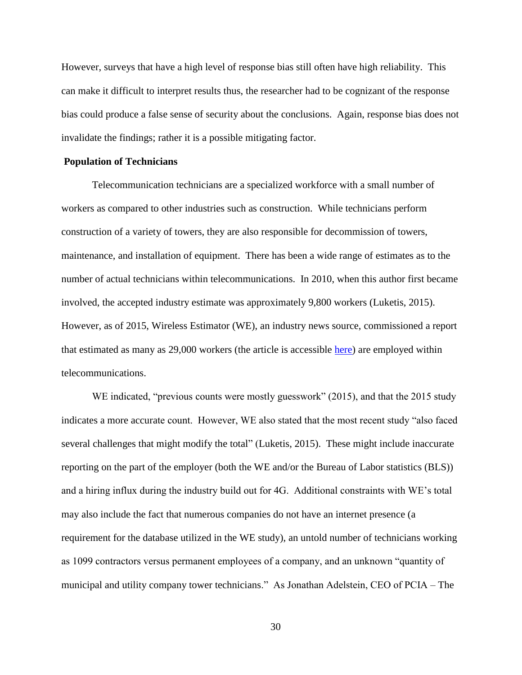However, surveys that have a high level of response bias still often have high reliability. This can make it difficult to interpret results thus, the researcher had to be cognizant of the response bias could produce a false sense of security about the conclusions. Again, response bias does not invalidate the findings; rather it is a possible mitigating factor.

#### **Population of Technicians**

Telecommunication technicians are a specialized workforce with a small number of workers as compared to other industries such as construction. While technicians perform construction of a variety of towers, they are also responsible for decommission of towers, maintenance, and installation of equipment. There has been a wide range of estimates as to the number of actual technicians within telecommunications. In 2010, when this author first became involved, the accepted industry estimate was approximately 9,800 workers (Luketis, 2015). However, as of 2015, Wireless Estimator (WE), an industry news source, commissioned a report that estimated as many as 29,000 workers (the article is accessible [here\)](http://wirelessestimator.com/articles/2015/over-29000-tower-climbers-identified-in-extensive-wireless-workforce-survey/) are employed within telecommunications.

WE indicated, "previous counts were mostly guesswork" (2015), and that the 2015 study indicates a more accurate count. However, WE also stated that the most recent study "also faced several challenges that might modify the total" (Luketis, 2015). These might include inaccurate reporting on the part of the employer (both the WE and/or the Bureau of Labor statistics (BLS)) and a hiring influx during the industry build out for 4G. Additional constraints with WE's total may also include the fact that numerous companies do not have an internet presence (a requirement for the database utilized in the WE study), an untold number of technicians working as 1099 contractors versus permanent employees of a company, and an unknown "quantity of municipal and utility company tower technicians." As Jonathan Adelstein, CEO of PCIA – The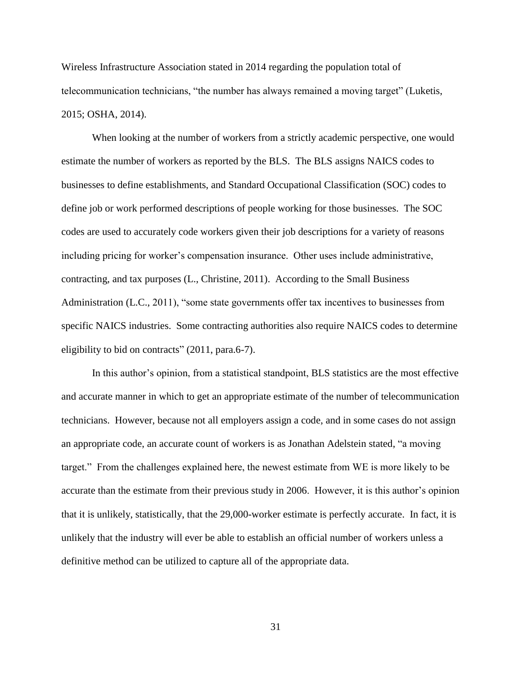Wireless Infrastructure Association stated in 2014 regarding the population total of telecommunication technicians, "the number has always remained a moving target" (Luketis, 2015; OSHA, 2014).

When looking at the number of workers from a strictly academic perspective, one would estimate the number of workers as reported by the BLS. The BLS assigns NAICS codes to businesses to define establishments, and Standard Occupational Classification (SOC) codes to define job or work performed descriptions of people working for those businesses. The SOC codes are used to accurately code workers given their job descriptions for a variety of reasons including pricing for worker's compensation insurance. Other uses include administrative, contracting, and tax purposes (L., Christine, 2011). According to the Small Business Administration (L.C., 2011), "some state governments offer tax incentives to businesses from specific NAICS industries. Some contracting authorities also require NAICS codes to determine eligibility to bid on contracts" (2011, para.6-7).

In this author's opinion, from a statistical standpoint, BLS statistics are the most effective and accurate manner in which to get an appropriate estimate of the number of telecommunication technicians. However, because not all employers assign a code, and in some cases do not assign an appropriate code, an accurate count of workers is as Jonathan Adelstein stated, "a moving target." From the challenges explained here, the newest estimate from WE is more likely to be accurate than the estimate from their previous study in 2006. However, it is this author's opinion that it is unlikely, statistically, that the 29,000-worker estimate is perfectly accurate. In fact, it is unlikely that the industry will ever be able to establish an official number of workers unless a definitive method can be utilized to capture all of the appropriate data.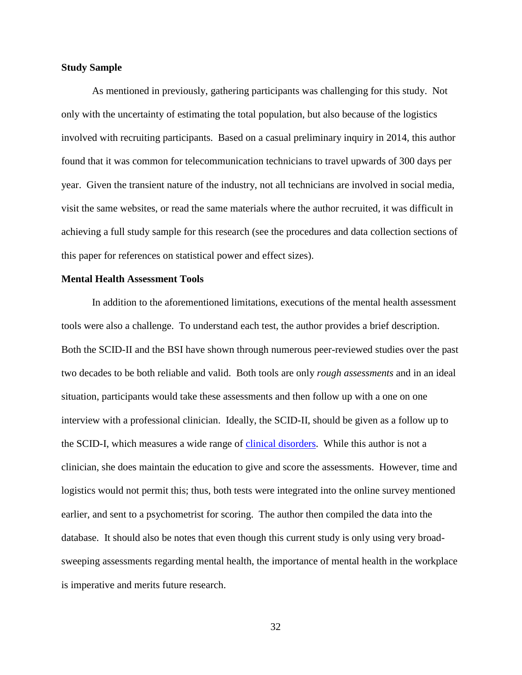#### **Study Sample**

As mentioned in previously, gathering participants was challenging for this study. Not only with the uncertainty of estimating the total population, but also because of the logistics involved with recruiting participants. Based on a casual preliminary inquiry in 2014, this author found that it was common for telecommunication technicians to travel upwards of 300 days per year. Given the transient nature of the industry, not all technicians are involved in social media, visit the same websites, or read the same materials where the author recruited, it was difficult in achieving a full study sample for this research (see the procedures and data collection sections of this paper for references on statistical power and effect sizes).

#### **Mental Health Assessment Tools**

In addition to the aforementioned limitations, executions of the mental health assessment tools were also a challenge. To understand each test, the author provides a brief description. Both the SCID-II and the BSI have shown through numerous peer-reviewed studies over the past two decades to be both reliable and valid. Both tools are only *rough assessments* and in an ideal situation, participants would take these assessments and then follow up with a one on one interview with a professional clinician. Ideally, the SCID-II, should be given as a follow up to the SCID-I, which measures a wide range of [clinical disorders.](http://www.nsmha.org/datadict/Codes/AXIS1.aspx) While this author is not a clinician, she does maintain the education to give and score the assessments. However, time and logistics would not permit this; thus, both tests were integrated into the online survey mentioned earlier, and sent to a psychometrist for scoring. The author then compiled the data into the database. It should also be notes that even though this current study is only using very broadsweeping assessments regarding mental health, the importance of mental health in the workplace is imperative and merits future research.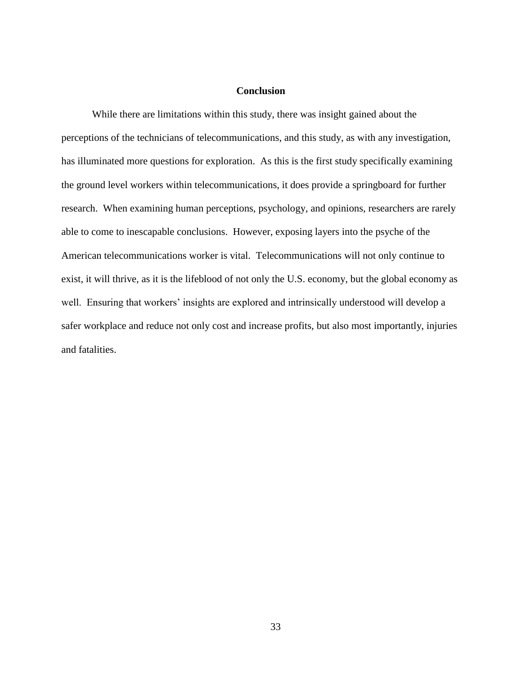#### **Conclusion**

While there are limitations within this study, there was insight gained about the perceptions of the technicians of telecommunications, and this study, as with any investigation, has illuminated more questions for exploration. As this is the first study specifically examining the ground level workers within telecommunications, it does provide a springboard for further research. When examining human perceptions, psychology, and opinions, researchers are rarely able to come to inescapable conclusions. However, exposing layers into the psyche of the American telecommunications worker is vital. Telecommunications will not only continue to exist, it will thrive, as it is the lifeblood of not only the U.S. economy, but the global economy as well. Ensuring that workers' insights are explored and intrinsically understood will develop a safer workplace and reduce not only cost and increase profits, but also most importantly, injuries and fatalities.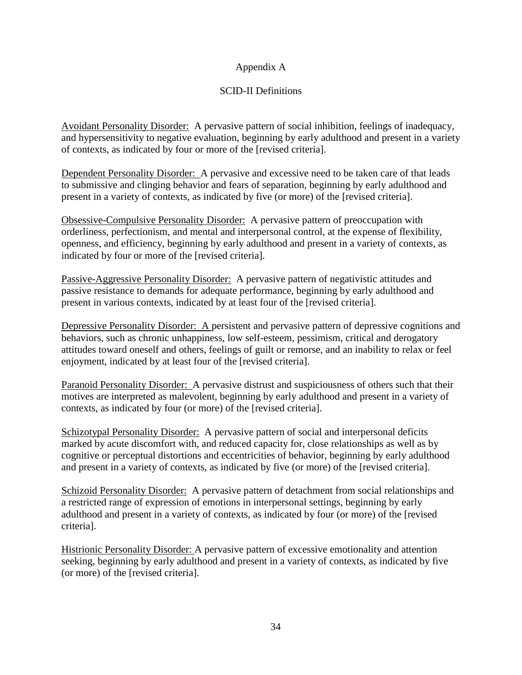### Appendix A

### SCID-II Definitions

Avoidant Personality Disorder: A pervasive pattern of social inhibition, feelings of inadequacy, and hypersensitivity to negative evaluation, beginning by early adulthood and present in a variety of contexts, as indicated by four or more of the [revised criteria].

Dependent Personality Disorder: A pervasive and excessive need to be taken care of that leads to submissive and clinging behavior and fears of separation, beginning by early adulthood and present in a variety of contexts, as indicated by five (or more) of the [revised criteria].

Obsessive-Compulsive Personality Disorder: A pervasive pattern of preoccupation with orderliness, perfectionism, and mental and interpersonal control, at the expense of flexibility, openness, and efficiency, beginning by early adulthood and present in a variety of contexts, as indicated by four or more of the [revised criteria].

Passive-Aggressive Personality Disorder: A pervasive pattern of negativistic attitudes and passive resistance to demands for adequate performance, beginning by early adulthood and present in various contexts, indicated by at least four of the [revised criteria].

Depressive Personality Disorder: A persistent and pervasive pattern of depressive cognitions and behaviors, such as chronic unhappiness, low self-esteem, pessimism, critical and derogatory attitudes toward oneself and others, feelings of guilt or remorse, and an inability to relax or feel enjoyment, indicated by at least four of the [revised criteria].

Paranoid Personality Disorder: A pervasive distrust and suspiciousness of others such that their motives are interpreted as malevolent, beginning by early adulthood and present in a variety of contexts, as indicated by four (or more) of the [revised criteria].

Schizotypal Personality Disorder: A pervasive pattern of social and interpersonal deficits marked by acute discomfort with, and reduced capacity for, close relationships as well as by cognitive or perceptual distortions and eccentricities of behavior, beginning by early adulthood and present in a variety of contexts, as indicated by five (or more) of the [revised criteria].

Schizoid Personality Disorder: A pervasive pattern of detachment from social relationships and a restricted range of expression of emotions in interpersonal settings, beginning by early adulthood and present in a variety of contexts, as indicated by four (or more) of the [revised criteria].

Histrionic Personality Disorder: A pervasive pattern of excessive emotionality and attention seeking, beginning by early adulthood and present in a variety of contexts, as indicated by five (or more) of the [revised criteria].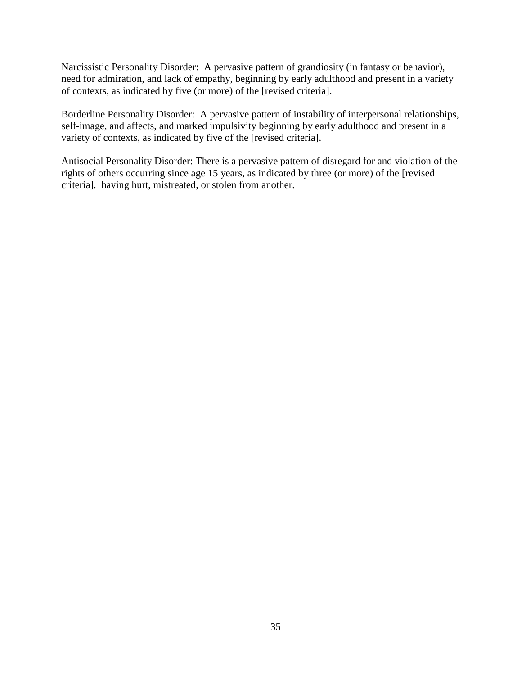Narcissistic Personality Disorder: A pervasive pattern of grandiosity (in fantasy or behavior), need for admiration, and lack of empathy, beginning by early adulthood and present in a variety of contexts, as indicated by five (or more) of the [revised criteria].

Borderline Personality Disorder: A pervasive pattern of instability of interpersonal relationships, self-image, and affects, and marked impulsivity beginning by early adulthood and present in a variety of contexts, as indicated by five of the [revised criteria].

Antisocial Personality Disorder: There is a pervasive pattern of disregard for and violation of the rights of others occurring since age 15 years, as indicated by three (or more) of the [revised criteria]. having hurt, mistreated, or stolen from another.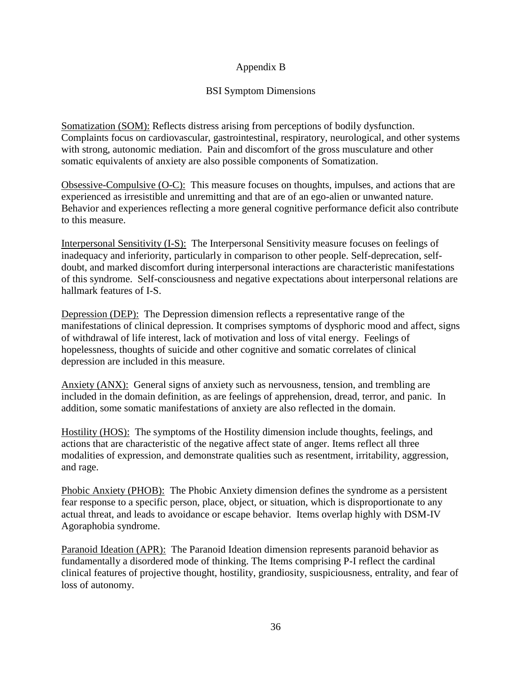### Appendix B

### BSI Symptom Dimensions

Somatization (SOM): Reflects distress arising from perceptions of bodily dysfunction. Complaints focus on cardiovascular, gastrointestinal, respiratory, neurological, and other systems with strong, autonomic mediation. Pain and discomfort of the gross musculature and other somatic equivalents of anxiety are also possible components of Somatization.

Obsessive-Compulsive (O-C): This measure focuses on thoughts, impulses, and actions that are experienced as irresistible and unremitting and that are of an ego-alien or unwanted nature. Behavior and experiences reflecting a more general cognitive performance deficit also contribute to this measure.

Interpersonal Sensitivity (I-S): The Interpersonal Sensitivity measure focuses on feelings of inadequacy and inferiority, particularly in comparison to other people. Self-deprecation, selfdoubt, and marked discomfort during interpersonal interactions are characteristic manifestations of this syndrome. Self-consciousness and negative expectations about interpersonal relations are hallmark features of I-S.

Depression (DEP): The Depression dimension reflects a representative range of the manifestations of clinical depression. It comprises symptoms of dysphoric mood and affect, signs of withdrawal of life interest, lack of motivation and loss of vital energy. Feelings of hopelessness, thoughts of suicide and other cognitive and somatic correlates of clinical depression are included in this measure.

Anxiety (ANX): General signs of anxiety such as nervousness, tension, and trembling are included in the domain definition, as are feelings of apprehension, dread, terror, and panic. In addition, some somatic manifestations of anxiety are also reflected in the domain.

Hostility (HOS): The symptoms of the Hostility dimension include thoughts, feelings, and actions that are characteristic of the negative affect state of anger. Items reflect all three modalities of expression, and demonstrate qualities such as resentment, irritability, aggression, and rage.

Phobic Anxiety (PHOB): The Phobic Anxiety dimension defines the syndrome as a persistent fear response to a specific person, place, object, or situation, which is disproportionate to any actual threat, and leads to avoidance or escape behavior. Items overlap highly with DSM-IV Agoraphobia syndrome.

Paranoid Ideation (APR): The Paranoid Ideation dimension represents paranoid behavior as fundamentally a disordered mode of thinking. The Items comprising P-I reflect the cardinal clinical features of projective thought, hostility, grandiosity, suspiciousness, entrality, and fear of loss of autonomy.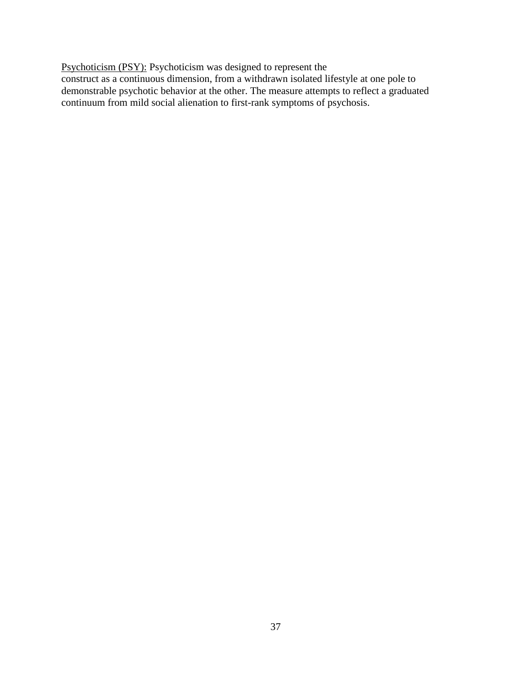Psychoticism (PSY): Psychoticism was designed to represent the

construct as a continuous dimension, from a withdrawn isolated lifestyle at one pole to demonstrable psychotic behavior at the other. The measure attempts to reflect a graduated continuum from mild social alienation to first-rank symptoms of psychosis.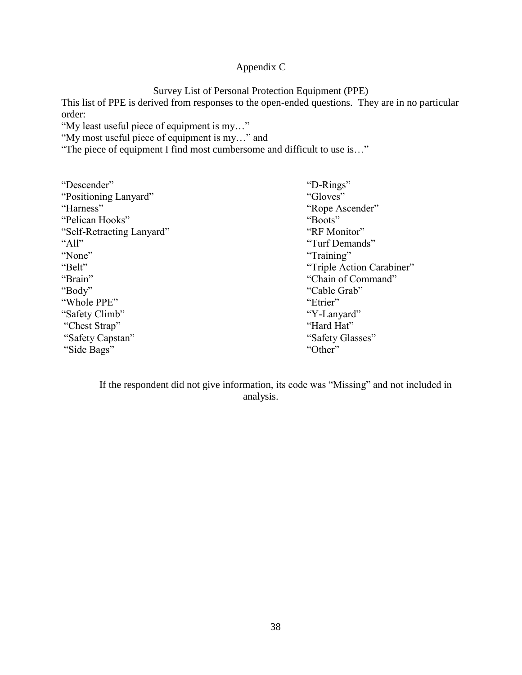# Appendix C

Survey List of Personal Protection Equipment (PPE)

This list of PPE is derived from responses to the open-ended questions. They are in no particular order:

"My least useful piece of equipment is my…"

"My most useful piece of equipment is my…" and

"The piece of equipment I find most cumbersome and difficult to use is…"

| "D-Rings"                 |
|---------------------------|
| "Gloves"                  |
| "Rope Ascender"           |
| "Boots"                   |
| "RF Monitor"              |
| "Turf Demands"            |
| "Training"                |
| "Triple Action Carabiner" |
| "Chain of Command"        |
| "Cable Grab"              |
| "Etrier"                  |
| "Y-Lanyard"               |
| "Hard Hat"                |
| "Safety Glasses"          |
| "Other"                   |
|                           |

If the respondent did not give information, its code was "Missing" and not included in analysis.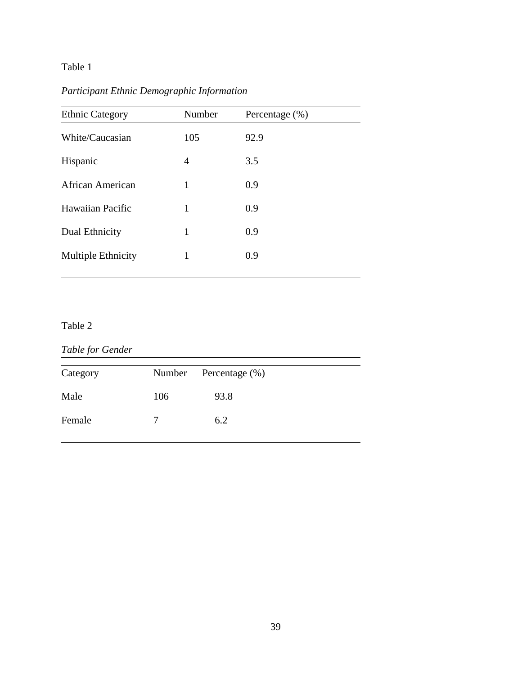# *Participant Ethnic Demographic Information*

| <b>Ethnic Category</b> | Number | Percentage $(\%)$ |
|------------------------|--------|-------------------|
| White/Caucasian        | 105    | 92.9              |
| Hispanic               | 4      | 3.5               |
| African American       | 1      | 0.9               |
| Hawaiian Pacific       | 1      | 0.9               |
| Dual Ethnicity         | 1      | 0.9               |
| Multiple Ethnicity     | 1      | 0.9               |
|                        |        |                   |

# Table 2

# *Table for Gender*

j

j

| Category |               | Number Percentage (%) |
|----------|---------------|-----------------------|
| Male     | 106           | 93.8                  |
| Female   | $\frac{1}{2}$ | 6.2                   |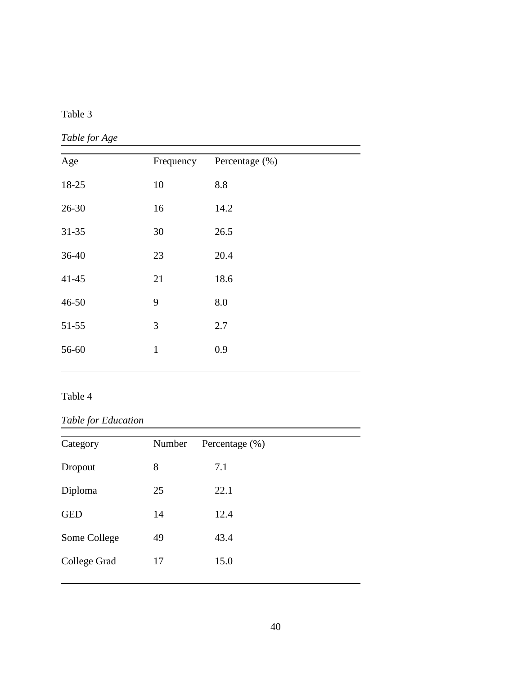# *Table for Age*

| Age       | Frequency    | Percentage (%) |  |
|-----------|--------------|----------------|--|
| 18-25     | 10           | 8.8            |  |
| 26-30     | 16           | 14.2           |  |
| $31 - 35$ | 30           | 26.5           |  |
| 36-40     | 23           | 20.4           |  |
| $41 - 45$ | 21           | 18.6           |  |
| 46-50     | 9            | 8.0            |  |
| $51 - 55$ | 3            | 2.7            |  |
| 56-60     | $\mathbf{1}$ | 0.9            |  |
|           |              |                |  |

# Table 4

# *Table for Education*

| Category     | Number | Percentage $(\%)$ |  |
|--------------|--------|-------------------|--|
| Dropout      | 8      | 7.1               |  |
| Diploma      | 25     | 22.1              |  |
| <b>GED</b>   | 14     | 12.4              |  |
| Some College | 49     | 43.4              |  |
| College Grad | 17     | 15.0              |  |
|              |        |                   |  |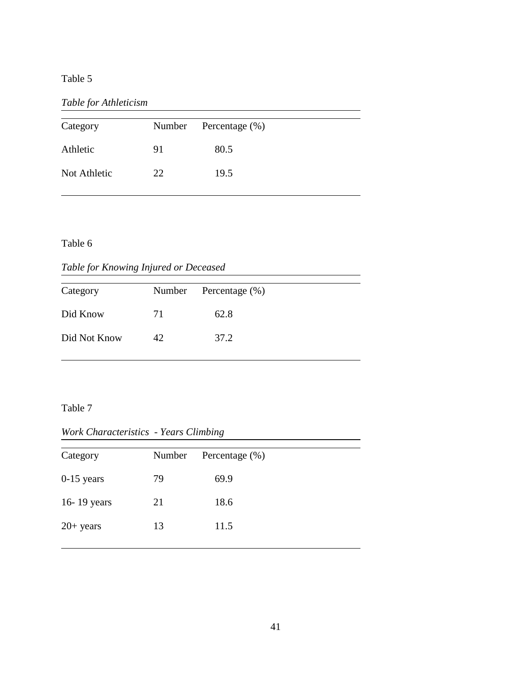*Table for Athleticism*

| Category     |    | Number Percentage (%) |
|--------------|----|-----------------------|
| Athletic     | 91 | 80.5                  |
| Not Athletic | 22 | 19.5                  |

Table 6

 $\overline{a}$ 

*Table for Knowing Injured or Deceased*

| Category     |    | Number Percentage (%) |
|--------------|----|-----------------------|
| Did Know     | 71 | 62.8                  |
| Did Not Know | 42 | 37.2                  |

Table 7

i<br>I

j

*Work Characteristics - Years Climbing*

| Category     | Number | Percentage $(\%)$ |
|--------------|--------|-------------------|
| $0-15$ years | 79     | 69.9              |
| 16-19 years  | 21     | 18.6              |
| $20+$ years  | 13     | 11.5              |
|              |        |                   |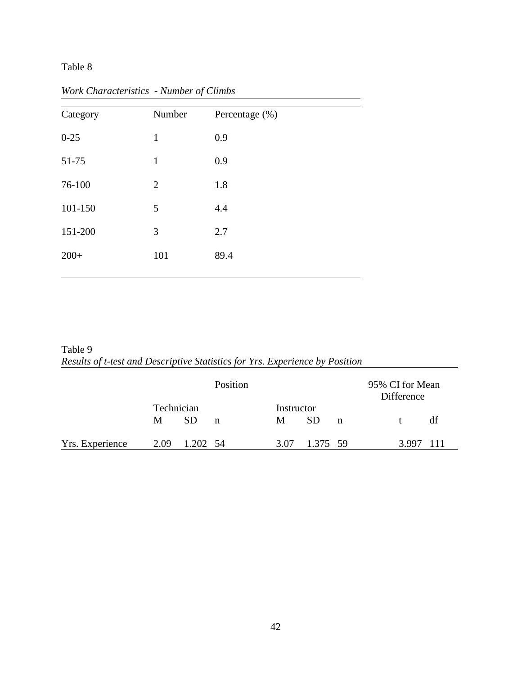| Category | Number         | Percentage (%) |  |
|----------|----------------|----------------|--|
| $0 - 25$ | $\mathbf{1}$   | 0.9            |  |
| 51-75    | $\mathbf{1}$   | 0.9            |  |
| 76-100   | $\overline{2}$ | 1.8            |  |
| 101-150  | 5              | 4.4            |  |
| 151-200  | 3              | 2.7            |  |
| $200+$   | 101            | 89.4           |  |
|          |                |                |  |

*Work Characteristics - Number of Climbs*

Table 9 *Results of t-test and Descriptive Statistics for Yrs. Experience by Position*

|                 |                 |           | Position |                 |          |             | 95% CI for Mean<br>Difference |
|-----------------|-----------------|-----------|----------|-----------------|----------|-------------|-------------------------------|
|                 | Technician<br>M | <b>SD</b> | n        | Instructor<br>M | SD.      | $\mathbf n$ | df                            |
| Yrs. Experience | 2.09            | 1.202 54  |          | 3.07            | 1.375 59 |             | 3.997                         |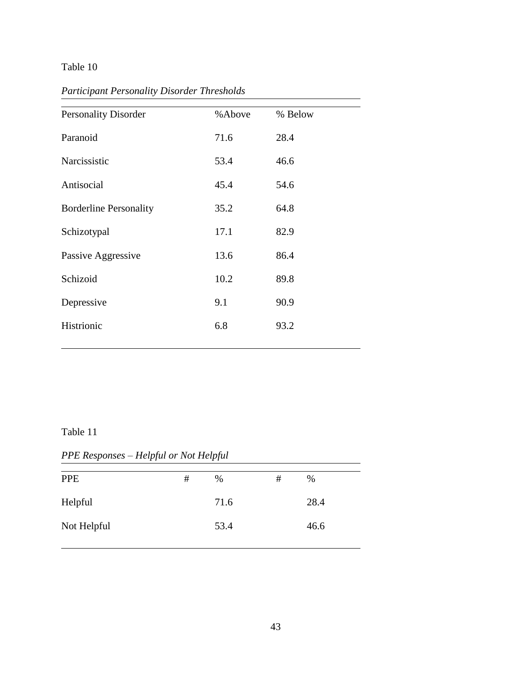| <b>Personality Disorder</b>   | %Above | % Below |
|-------------------------------|--------|---------|
| Paranoid                      | 71.6   | 28.4    |
| Narcissistic                  | 53.4   | 46.6    |
| Antisocial                    | 45.4   | 54.6    |
| <b>Borderline Personality</b> | 35.2   | 64.8    |
| Schizotypal                   | 17.1   | 82.9    |
| Passive Aggressive            | 13.6   | 86.4    |
| Schizoid                      | 10.2   | 89.8    |
| Depressive                    | 9.1    | 90.9    |
| Histrionic                    | 6.8    | 93.2    |
|                               |        |         |

*Participant Personality Disorder Thresholds* 

### Table 11

j

*PPE Responses – Helpful or Not Helpful*

| <b>PPE</b>  | $\#$ | $\%$ | # | %    |
|-------------|------|------|---|------|
| Helpful     |      | 71.6 |   | 28.4 |
| Not Helpful |      | 53.4 |   | 46.6 |
|             |      |      |   |      |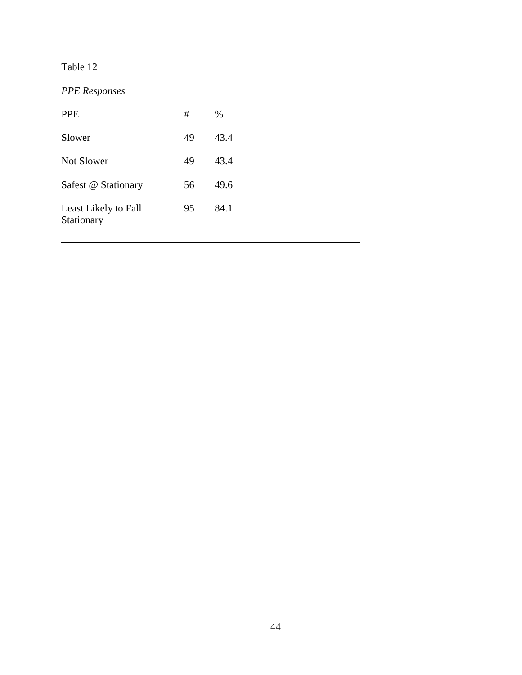# *PPE Responses*

I

| <b>PPE</b>                         | #  | $\%$ |
|------------------------------------|----|------|
| Slower                             | 49 | 43.4 |
| Not Slower                         | 49 | 43.4 |
| Safest @ Stationary                | 56 | 49.6 |
| Least Likely to Fall<br>Stationary | 95 | 84.1 |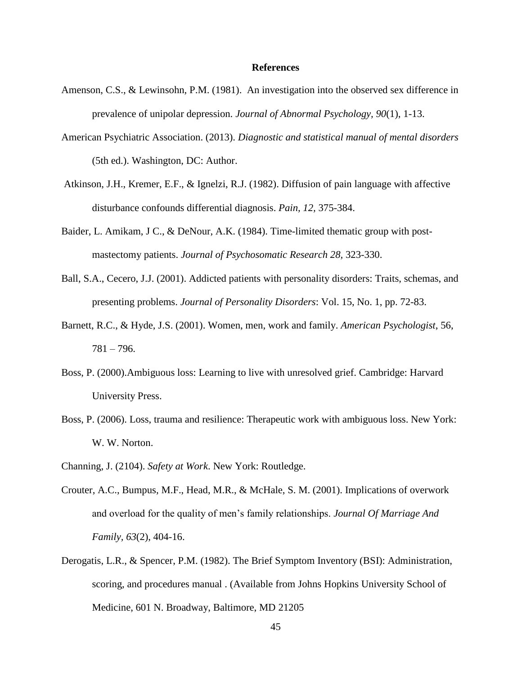#### **References**

- Amenson, C.S., & Lewinsohn, P.M. (1981). An investigation into the observed sex difference in prevalence of unipolar depression. *Journal of Abnormal Psychology, 90*(1), 1-13.
- American Psychiatric Association. (2013). *Diagnostic and statistical manual of mental disorders* (5th ed.). Washington, DC: Author.
- Atkinson, J.H., Kremer, E.F., & Ignelzi, R.J. (1982). Diffusion of pain language with affective disturbance confounds differential diagnosis. *Pain, 12,* 375-384.
- Baider, L. Amikam, J C., & DeNour, A.K. (1984). Time-limited thematic group with postmastectomy patients. *Journal of Psychosomatic Research 28,* 323-330.
- Ball, S.A., Cecero, J.J. (2001). Addicted patients with personality disorders: Traits, schemas, and presenting problems. *Journal of Personality Disorders*: Vol. 15, No. 1, pp. 72-83.
- Barnett, R.C., & Hyde, J.S. (2001). Women, men, work and family. *American Psychologist*, 56,  $781 - 796.$
- Boss, P. (2000).Ambiguous loss: Learning to live with unresolved grief. Cambridge: Harvard University Press.
- Boss, P. (2006). Loss, trauma and resilience: Therapeutic work with ambiguous loss. New York: W. W. Norton.
- Channing, J. (2104). *Safety at Work*. New York: Routledge.
- Crouter, A.C., Bumpus, M.F., Head, M.R., & McHale, S. M. (2001). Implications of overwork and overload for the quality of men's family relationships. *Journal Of Marriage And Family, 63*(2), 404-16.
- Derogatis, L.R., & Spencer, P.M. (1982). The Brief Symptom Inventory (BSI): Administration, scoring, and procedures manual . (Available from Johns Hopkins University School of Medicine, 601 N. Broadway, Baltimore, MD 21205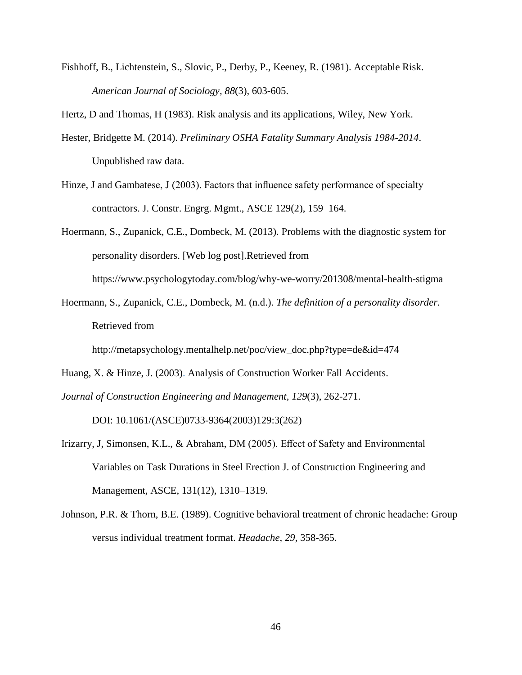Fishhoff, B., Lichtenstein, S., Slovic, P., Derby, P., Keeney, R. (1981). Acceptable Risk. *American Journal of Sociology, 88*(3), 603-605.

Hertz, D and Thomas, H (1983). Risk analysis and its applications, Wiley, New York.

- Hester, Bridgette M. (2014). *Preliminary OSHA Fatality Summary Analysis 1984-2014*. Unpublished raw data.
- Hinze, J and Gambatese, J (2003). Factors that influence safety performance of specialty contractors. J. Constr. Engrg. Mgmt., ASCE 129(2), 159–164.
- Hoermann, S., Zupanick, C.E., Dombeck, M. (2013). Problems with the diagnostic system for personality disorders. [Web log post].Retrieved from https://www.psychologytoday.com/blog/why-we-worry/201308/mental-health-stigma
- Hoermann, S., Zupanick, C.E., Dombeck, M. (n.d.). *The definition of a personality disorder.*  Retrieved from

http://metapsychology.mentalhelp.net/poc/view\_doc.php?type=de&id=474

Huang, X. & Hinze, J. (2003). Analysis of Construction Worker Fall Accidents.

*Journal of Construction Engineering and Management, 129*(3), 262-271.

DOI: 10.1061/(ASCE)0733-9364(2003)129:3(262)

- Irizarry, J, Simonsen, K.L., & Abraham, DM (2005). Effect of Safety and Environmental Variables on Task Durations in Steel Erection J. of Construction Engineering and Management, ASCE, 131(12), 1310–1319.
- Johnson, P.R. & Thorn, B.E. (1989). Cognitive behavioral treatment of chronic headache: Group versus individual treatment format. *Headache, 29*, 358-365.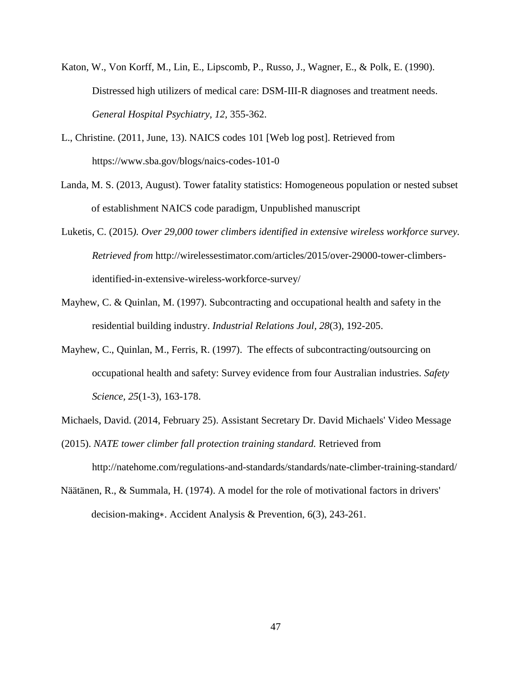- Katon, W., Von Korff, M., Lin, E., Lipscomb, P., Russo, J., Wagner, E., & Polk, E. (1990). Distressed high utilizers of medical care: DSM-III-R diagnoses and treatment needs. *General Hospital Psychiatry, 12,* 355-362.
- L., Christine. (2011, June, 13). NAICS codes 101 [Web log post]. Retrieved from https://www.sba.gov/blogs/naics-codes-101-0
- Landa, M. S. (2013, August). Tower fatality statistics: Homogeneous population or nested subset of establishment NAICS code paradigm, Unpublished manuscript
- Luketis, C. (2015*). Over 29,000 tower climbers identified in extensive wireless workforce survey. Retrieved from* http://wirelessestimator.com/articles/2015/over-29000-tower-climbersidentified-in-extensive-wireless-workforce-survey/
- Mayhew, C. & Quinlan, M. (1997). Subcontracting and occupational health and safety in the residential building industry. *Industrial Relations Joul, 28*(3), 192-205.
- Mayhew, C., Quinlan, M., Ferris, R. (1997). The effects of subcontracting/outsourcing on occupational health and safety: Survey evidence from four Australian industries. *Safety Science, 25*(1-3), 163-178.
- Michaels, David. (2014, February 25). Assistant Secretary Dr. David Michaels' Video Message
- (2015). *NATE tower climber fall protection training standard.* Retrieved from

http://natehome.com/regulations-and-standards/standards/nate-climber-training-standard/

Näätänen, R., & Summala, H. (1974). A model for the role of motivational factors in drivers' decision-making∗. Accident Analysis & Prevention, 6(3), 243-261.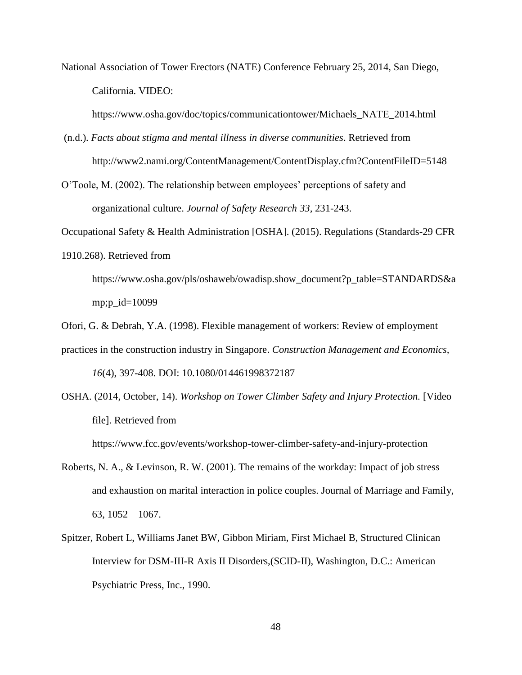National Association of Tower Erectors (NATE) Conference February 25, 2014, San Diego, California. VIDEO:

https://www.osha.gov/doc/topics/communicationtower/Michaels\_NATE\_2014.html

- (n.d.). *Facts about stigma and mental illness in diverse communities*. Retrieved from http://www2.nami.org/ContentManagement/ContentDisplay.cfm?ContentFileID=5148
- O'Toole, M. (2002). The relationship between employees' perceptions of safety and organizational culture. *Journal of Safety Research 33,* 231-243.

Occupational Safety & Health Administration [OSHA]. (2015). Regulations (Standards-29 CFR

1910.268). Retrieved from

https://www.osha.gov/pls/oshaweb/owadisp.show\_document?p\_table=STANDARDS&a mp;p\_id=10099

Ofori, G. & Debrah, Y.A. (1998). Flexible management of workers: Review of employment

- practices in the construction industry in Singapore. *Construction Management and Economics, 16*(4), 397-408. DOI: 10.1080/014461998372187
- OSHA. (2014, October, 14). *Workshop on Tower Climber Safety and Injury Protection.* [Video file]. Retrieved from

https://www.fcc.gov/events/workshop-tower-climber-safety-and-injury-protection

- Roberts, N. A., & Levinson, R. W. (2001). The remains of the workday: Impact of job stress and exhaustion on marital interaction in police couples. Journal of Marriage and Family,  $63, 1052 - 1067.$
- Spitzer, Robert L, Williams Janet BW, Gibbon Miriam, First Michael B, Structured Clinican Interview for DSM-III-R Axis II Disorders,(SCID-II), Washington, D.C.: American Psychiatric Press, Inc., 1990.